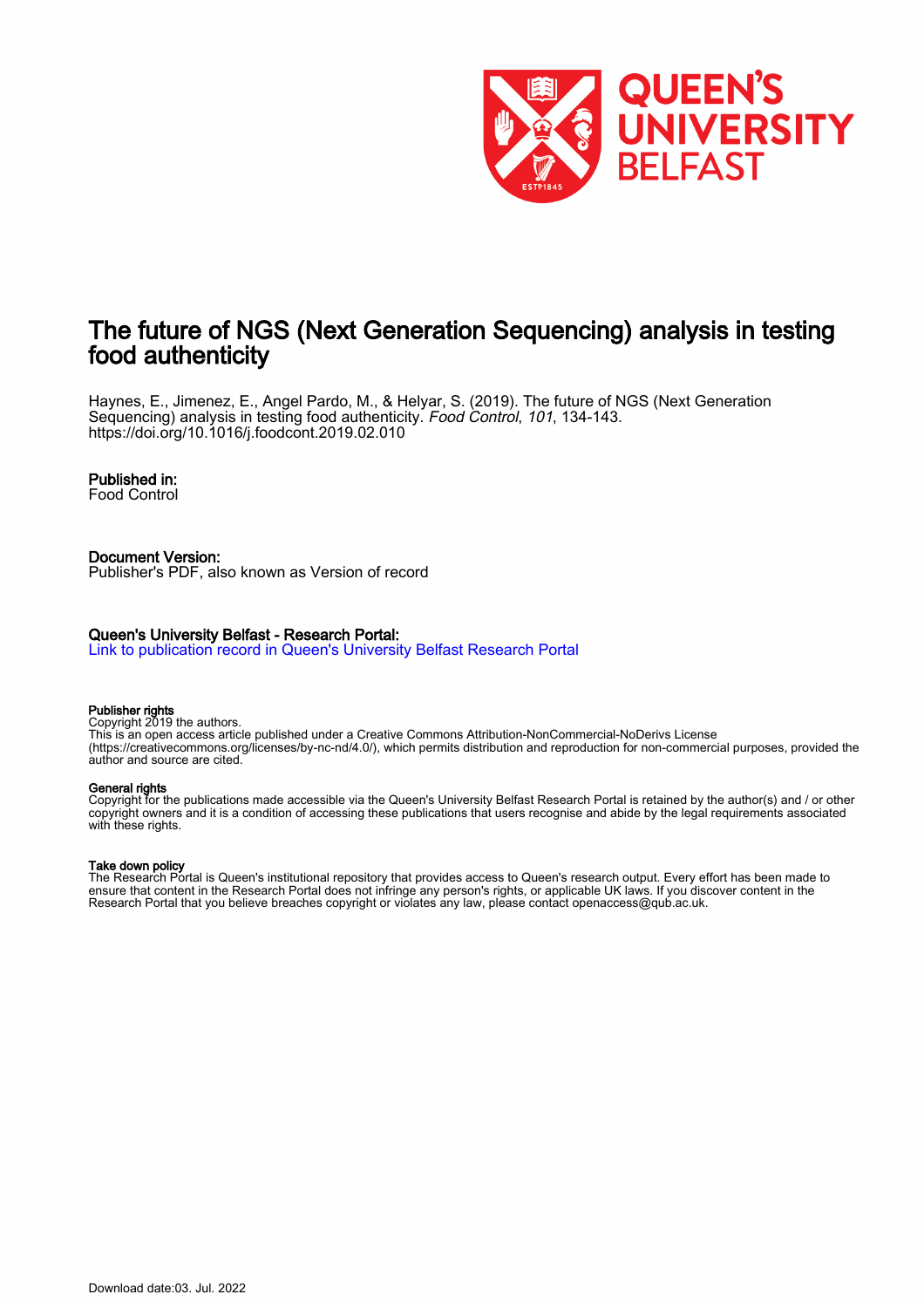

# The future of NGS (Next Generation Sequencing) analysis in testing food authenticity

Haynes, E., Jimenez, E., Angel Pardo, M., & Helyar, S. (2019). The future of NGS (Next Generation Sequencing) analysis in testing food authenticity. Food Control, 101, 134-143. <https://doi.org/10.1016/j.foodcont.2019.02.010>

### Published in:

Food Control

Document Version: Publisher's PDF, also known as Version of record

#### Queen's University Belfast - Research Portal:

[Link to publication record in Queen's University Belfast Research Portal](https://pure.qub.ac.uk/en/publications/b60b2082-54dd-4242-b261-13e30c898586)

#### Publisher rights

Copyright 2019 the authors.

This is an open access article published under a Creative Commons Attribution-NonCommercial-NoDerivs License (https://creativecommons.org/licenses/by-nc-nd/4.0/), which permits distribution and reproduction for non-commercial purposes, provided the author and source are cited.

#### General rights

Copyright for the publications made accessible via the Queen's University Belfast Research Portal is retained by the author(s) and / or other copyright owners and it is a condition of accessing these publications that users recognise and abide by the legal requirements associated with these rights.

#### Take down policy

The Research Portal is Queen's institutional repository that provides access to Queen's research output. Every effort has been made to ensure that content in the Research Portal does not infringe any person's rights, or applicable UK laws. If you discover content in the Research Portal that you believe breaches copyright or violates any law, please contact openaccess@qub.ac.uk.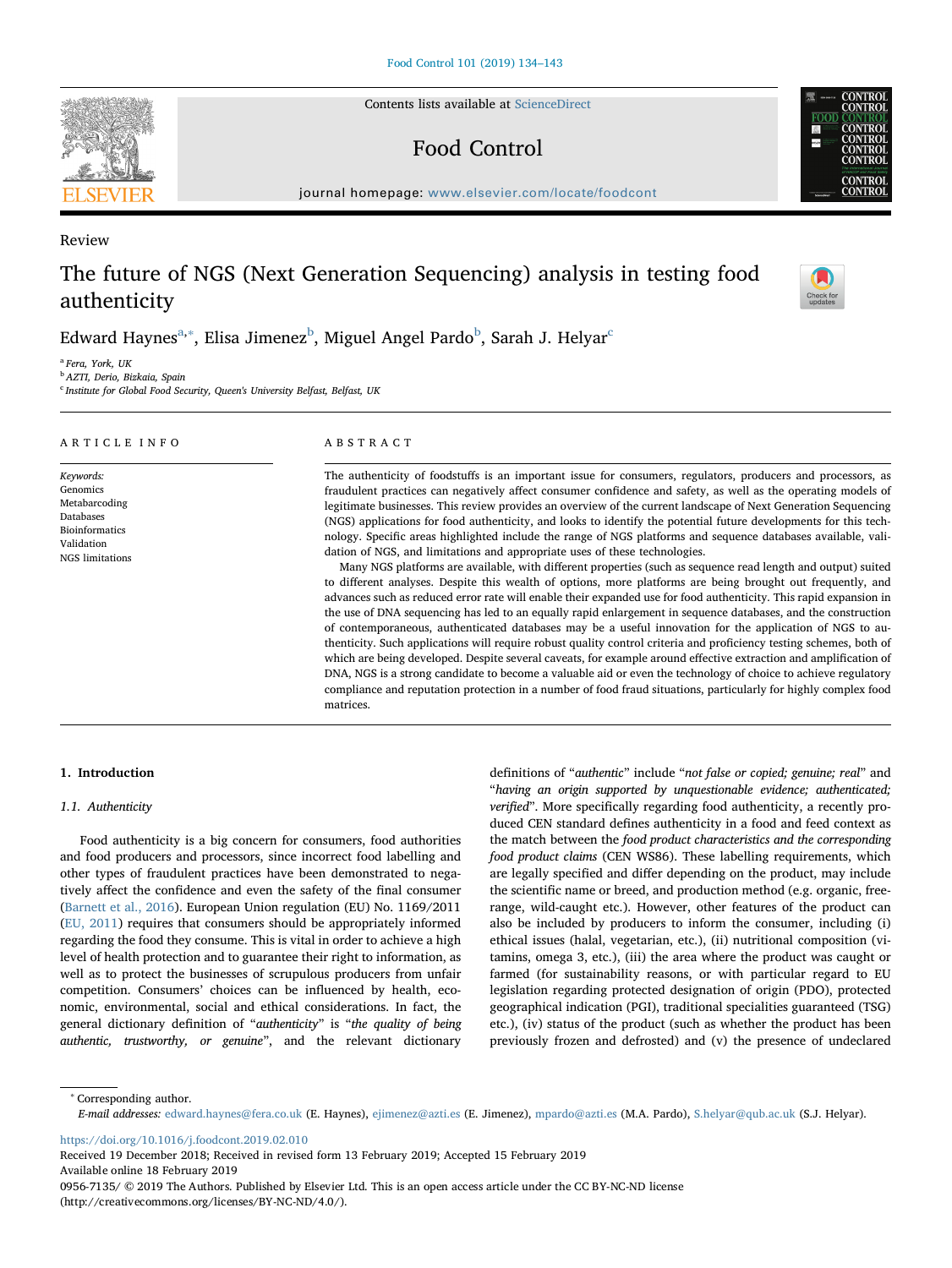Contents lists available at [ScienceDirect](http://www.sciencedirect.com/science/journal/09567135)

## Food Control

journal homepage: [www.elsevier.com/locate/foodcont](https://www.elsevier.com/locate/foodcont)

# The future of NGS (Next Generation Sequencing) analysis in testing food authenticity

Edw[a](#page-1-0)rd Haynes $^{\mathrm{a},*}$ , Elisa Jimenez $^{\mathrm{b}}$  $^{\mathrm{b}}$  $^{\mathrm{b}}$ , Miguel Angel Pardo $^{\mathrm{b}}$ , Sarah J. Helyar $^{\mathrm{c}}$  $^{\mathrm{c}}$  $^{\mathrm{c}}$ 

<span id="page-1-0"></span><sup>a</sup> Fera, York, UK

NGS limitations

<span id="page-1-2"></span><sup>b</sup> AZTI, Derio, Bizkaia, Spain

<span id="page-1-3"></span><sup>c</sup> Institute for Global Food Security, Queen's University Belfast, Belfast, UK

#### ARTICLE INFO Keywords: Genomics Metabarcoding Databases Bioinformatics Validation ABSTRACT The authenticity of foodstuffs is an important issue for consumers, regulators, producers and processors, as fraudulent practices can negatively affect consumer confidence and safety, as well as the operating models of legitimate businesses. This review provides an overview of the current landscape of Next Generation Sequencing (NGS) applications for food authenticity, and looks to identify the potential future developments for this technology. Specific areas highlighted include the range of NGS platforms and sequence databases available, validation of NGS, and limitations and appropriate uses of these technologies.

Many NGS platforms are available, with different properties (such as sequence read length and output) suited to different analyses. Despite this wealth of options, more platforms are being brought out frequently, and advances such as reduced error rate will enable their expanded use for food authenticity. This rapid expansion in the use of DNA sequencing has led to an equally rapid enlargement in sequence databases, and the construction of contemporaneous, authenticated databases may be a useful innovation for the application of NGS to authenticity. Such applications will require robust quality control criteria and proficiency testing schemes, both of which are being developed. Despite several caveats, for example around effective extraction and amplification of DNA, NGS is a strong candidate to become a valuable aid or even the technology of choice to achieve regulatory compliance and reputation protection in a number of food fraud situations, particularly for highly complex food matrices.

#### 1. Introduction

#### 1.1. Authenticity

Food authenticity is a big concern for consumers, food authorities and food producers and processors, since incorrect food labelling and other types of fraudulent practices have been demonstrated to negatively affect the confidence and even the safety of the final consumer ([Barnett et al., 2016](#page-8-0)). European Union regulation (EU) No. 1169/2011 ([EU, 2011\)](#page-9-0) requires that consumers should be appropriately informed regarding the food they consume. This is vital in order to achieve a high level of health protection and to guarantee their right to information, as well as to protect the businesses of scrupulous producers from unfair competition. Consumers' choices can be influenced by health, economic, environmental, social and ethical considerations. In fact, the general dictionary definition of "authenticity" is "the quality of being authentic, trustworthy, or genuine", and the relevant dictionary

definitions of "authentic" include "not false or copied; genuine; real" and "having an origin supported by unquestionable evidence; authenticated; verified". More specifically regarding food authenticity, a recently produced CEN standard defines authenticity in a food and feed context as the match between the food product characteristics and the corresponding food product claims (CEN WS86). These labelling requirements, which are legally specified and differ depending on the product, may include the scientific name or breed, and production method (e.g. organic, freerange, wild-caught etc.). However, other features of the product can also be included by producers to inform the consumer, including (i) ethical issues (halal, vegetarian, etc.), (ii) nutritional composition (vitamins, omega 3, etc.), (iii) the area where the product was caught or farmed (for sustainability reasons, or with particular regard to EU legislation regarding protected designation of origin (PDO), protected geographical indication (PGI), traditional specialities guaranteed (TSG) etc.), (iv) status of the product (such as whether the product has been previously frozen and defrosted) and (v) the presence of undeclared

<span id="page-1-1"></span><sup>∗</sup> Corresponding author.

<https://doi.org/10.1016/j.foodcont.2019.02.010>

Received 19 December 2018; Received in revised form 13 February 2019; Accepted 15 February 2019 Available online 18 February 2019

0956-7135/ © 2019 The Authors. Published by Elsevier Ltd. This is an open access article under the CC BY-NC-ND license (http://creativecommons.org/licenses/BY-NC-ND/4.0/).



Review





E-mail addresses: [edward.haynes@fera.co.uk](mailto:edward.haynes@fera.co.uk) (E. Haynes), [ejimenez@azti.es](mailto:ejimenez@azti.es) (E. Jimenez), [mpardo@azti.es](mailto:mpardo@azti.es) (M.A. Pardo), [S.helyar@qub.ac.uk](mailto:S.helyar@qub.ac.uk) (S.J. Helyar).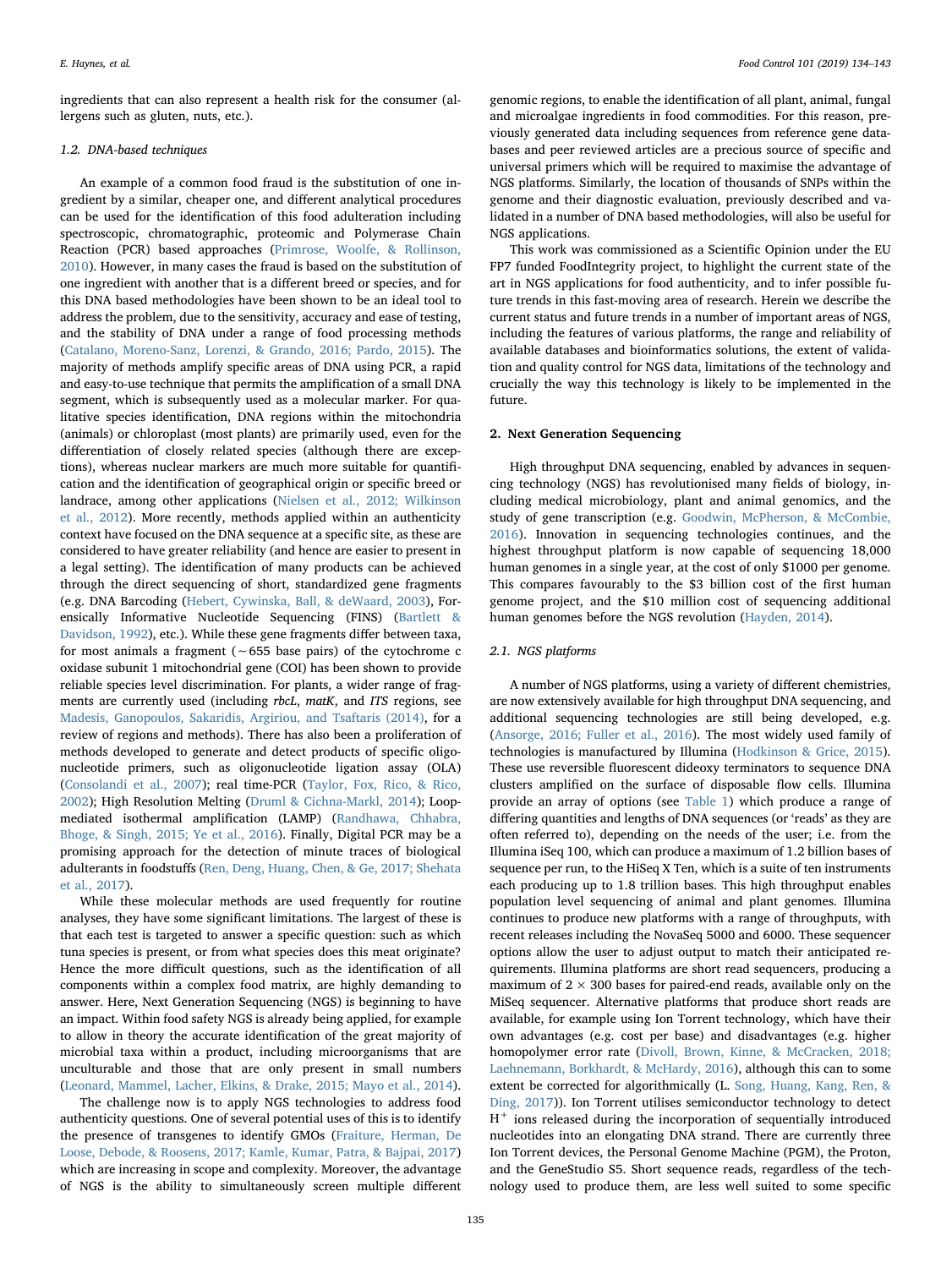ingredients that can also represent a health risk for the consumer (allergens such as gluten, nuts, etc.).

#### 1.2. DNA-based techniques

An example of a common food fraud is the substitution of one ingredient by a similar, cheaper one, and different analytical procedures can be used for the identification of this food adulteration including spectroscopic, chromatographic, proteomic and Polymerase Chain Reaction (PCR) based approaches ([Primrose, Woolfe, & Rollinson,](#page-9-1) [2010\)](#page-9-1). However, in many cases the fraud is based on the substitution of one ingredient with another that is a different breed or species, and for this DNA based methodologies have been shown to be an ideal tool to address the problem, due to the sensitivity, accuracy and ease of testing, and the stability of DNA under a range of food processing methods ([Catalano, Moreno-Sanz, Lorenzi, & Grando, 2016; Pardo, 2015](#page-8-1)). The majority of methods amplify specific areas of DNA using PCR, a rapid and easy-to-use technique that permits the amplification of a small DNA segment, which is subsequently used as a molecular marker. For qualitative species identification, DNA regions within the mitochondria (animals) or chloroplast (most plants) are primarily used, even for the differentiation of closely related species (although there are exceptions), whereas nuclear markers are much more suitable for quantification and the identification of geographical origin or specific breed or landrace, among other applications ([Nielsen et al., 2012; Wilkinson](#page-9-2) [et al., 2012\)](#page-9-2). More recently, methods applied within an authenticity context have focused on the DNA sequence at a specific site, as these are considered to have greater reliability (and hence are easier to present in a legal setting). The identification of many products can be achieved through the direct sequencing of short, standardized gene fragments (e.g. DNA Barcoding ([Hebert, Cywinska, Ball, & deWaard, 2003](#page-8-2)), Forensically Informative Nucleotide Sequencing (FINS) ([Bartlett &](#page-8-3) [Davidson, 1992\)](#page-8-3), etc.). While these gene fragments differ between taxa, for most animals a fragment (∼655 base pairs) of the cytochrome c oxidase subunit 1 mitochondrial gene (COI) has been shown to provide reliable species level discrimination. For plants, a wider range of fragments are currently used (including rbcL, matK, and ITS regions, see [Madesis, Ganopoulos, Sakaridis, Argiriou, and Tsaftaris \(2014\)](#page-9-3), for a review of regions and methods). There has also been a proliferation of methods developed to generate and detect products of specific oligonucleotide primers, such as oligonucleotide ligation assay (OLA) ([Consolandi et al., 2007](#page-8-4)); real time-PCR [\(Taylor, Fox, Rico, & Rico,](#page-9-4) [2002\)](#page-9-4); High Resolution Melting ([Druml & Cichna-Markl, 2014\)](#page-8-5); Loopmediated isothermal amplification (LAMP) ([Randhawa, Chhabra,](#page-9-5) [Bhoge, & Singh, 2015; Ye et al., 2016\)](#page-9-5). Finally, Digital PCR may be a promising approach for the detection of minute traces of biological adulterants in foodstuffs (Ren, [Deng, Huang, Chen, & Ge, 2017; Shehata](#page-9-6) [et al., 2017](#page-9-6)).

While these molecular methods are used frequently for routine analyses, they have some significant limitations. The largest of these is that each test is targeted to answer a specific question: such as which tuna species is present, or from what species does this meat originate? Hence the more difficult questions, such as the identification of all components within a complex food matrix, are highly demanding to answer. Here, Next Generation Sequencing (NGS) is beginning to have an impact. Within food safety NGS is already being applied, for example to allow in theory the accurate identification of the great majority of microbial taxa within a product, including microorganisms that are unculturable and those that are only present in small numbers ([Leonard, Mammel, Lacher, Elkins, & Drake, 2015; Mayo et al., 2014](#page-9-7)).

The challenge now is to apply NGS technologies to address food authenticity questions. One of several potential uses of this is to identify the presence of transgenes to identify GMOs [\(Fraiture, Herman, De](#page-8-6) [Loose, Debode, & Roosens, 2017; Kamle, Kumar, Patra, & Bajpai, 2017\)](#page-8-6) which are increasing in scope and complexity. Moreover, the advantage of NGS is the ability to simultaneously screen multiple different

genomic regions, to enable the identification of all plant, animal, fungal and microalgae ingredients in food commodities. For this reason, previously generated data including sequences from reference gene databases and peer reviewed articles are a precious source of specific and universal primers which will be required to maximise the advantage of NGS platforms. Similarly, the location of thousands of SNPs within the genome and their diagnostic evaluation, previously described and validated in a number of DNA based methodologies, will also be useful for NGS applications.

This work was commissioned as a Scientific Opinion under the EU FP7 funded FoodIntegrity project, to highlight the current state of the art in NGS applications for food authenticity, and to infer possible future trends in this fast-moving area of research. Herein we describe the current status and future trends in a number of important areas of NGS, including the features of various platforms, the range and reliability of available databases and bioinformatics solutions, the extent of validation and quality control for NGS data, limitations of the technology and crucially the way this technology is likely to be implemented in the future.

#### 2. Next Generation Sequencing

High throughput DNA sequencing, enabled by advances in sequencing technology (NGS) has revolutionised many fields of biology, including medical microbiology, plant and animal genomics, and the study of gene transcription (e.g. [Goodwin, McPherson, & McCombie,](#page-8-7) [2016\)](#page-8-7). Innovation in sequencing technologies continues, and the highest throughput platform is now capable of sequencing 18,000 human genomes in a single year, at the cost of only \$1000 per genome. This compares favourably to the \$3 billion cost of the first human genome project, and the \$10 million cost of sequencing additional human genomes before the NGS revolution [\(Hayden, 2014](#page-8-8)).

#### 2.1. NGS platforms

A number of NGS platforms, using a variety of different chemistries, are now extensively available for high throughput DNA sequencing, and additional sequencing technologies are still being developed, e.g. ([Ansorge, 2016; Fuller et al., 2016](#page-8-9)). The most widely used family of technologies is manufactured by Illumina [\(Hodkinson & Grice, 2015](#page-8-10)). These use reversible fluorescent dideoxy terminators to sequence DNA clusters amplified on the surface of disposable flow cells. Illumina provide an array of options (see [Table 1](#page-3-0)) which produce a range of differing quantities and lengths of DNA sequences (or 'reads' as they are often referred to), depending on the needs of the user; i.e. from the Illumina iSeq 100, which can produce a maximum of 1.2 billion bases of sequence per run, to the HiSeq X Ten, which is a suite of ten instruments each producing up to 1.8 trillion bases. This high throughput enables population level sequencing of animal and plant genomes. Illumina continues to produce new platforms with a range of throughputs, with recent releases including the NovaSeq 5000 and 6000. These sequencer options allow the user to adjust output to match their anticipated requirements. Illumina platforms are short read sequencers, producing a maximum of  $2 \times 300$  bases for paired-end reads, available only on the MiSeq sequencer. Alternative platforms that produce short reads are available, for example using Ion Torrent technology, which have their own advantages (e.g. cost per base) and disadvantages (e.g. higher homopolymer error rate ([Divoll, Brown, Kinne, & McCracken, 2018;](#page-8-11) [Laehnemann, Borkhardt, & McHardy, 2016](#page-8-11)), although this can to some extent be corrected for algorithmically (L. [Song, Huang, Kang, Ren, &](#page-9-8) [Ding, 2017](#page-9-8))). Ion Torrent utilises semiconductor technology to detect  $H^+$  ions released during the incorporation of sequentially introduced nucleotides into an elongating DNA strand. There are currently three Ion Torrent devices, the Personal Genome Machine (PGM), the Proton, and the GeneStudio S5. Short sequence reads, regardless of the technology used to produce them, are less well suited to some specific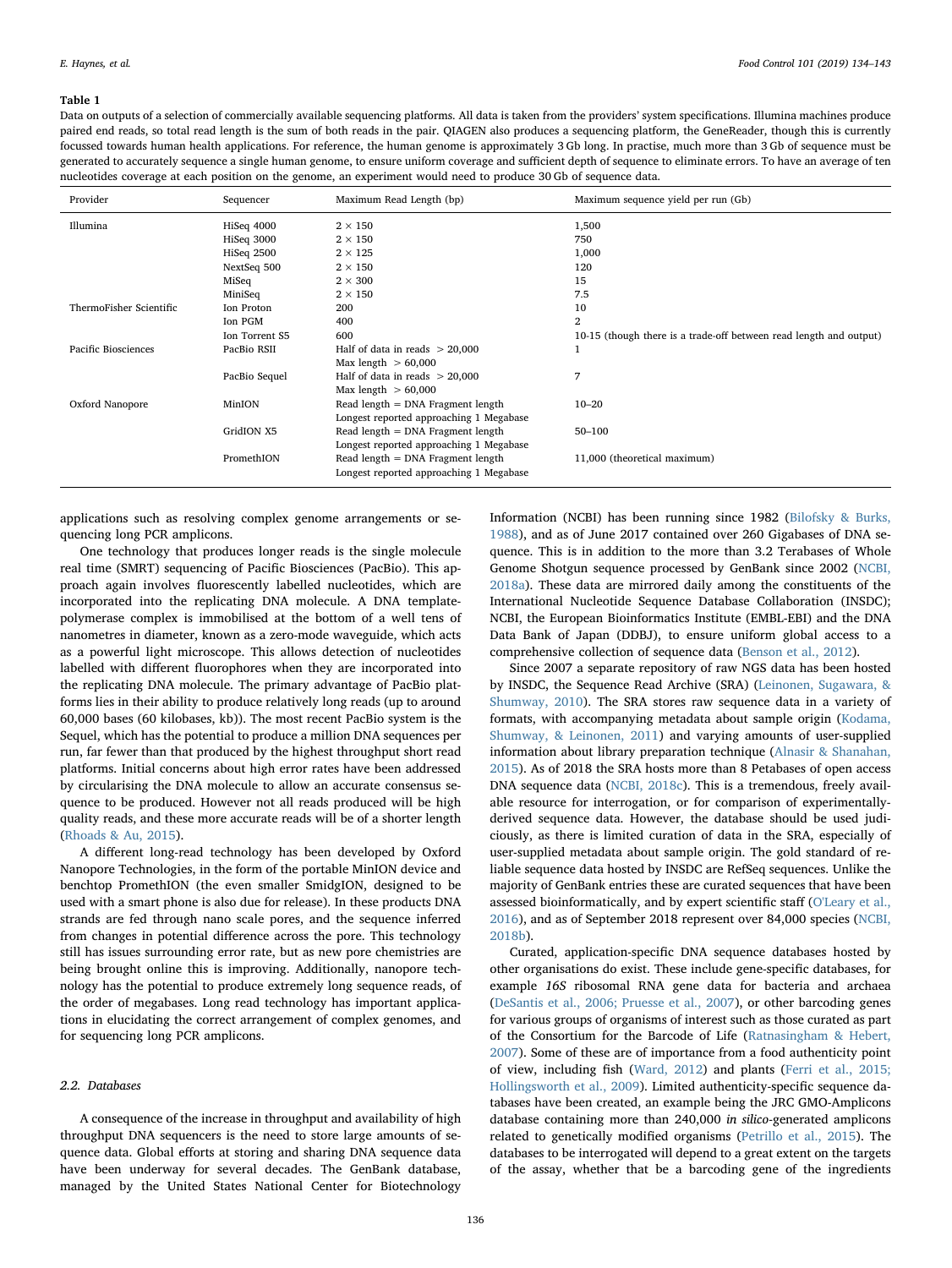#### <span id="page-3-0"></span>Table 1

Data on outputs of a selection of commercially available sequencing platforms. All data is taken from the providers' system specifications. Illumina machines produce paired end reads, so total read length is the sum of both reads in the pair. QIAGEN also produces a sequencing platform, the GeneReader, though this is currently focussed towards human health applications. For reference, the human genome is approximately 3 Gb long. In practise, much more than 3 Gb of sequence must be generated to accurately sequence a single human genome, to ensure uniform coverage and sufficient depth of sequence to eliminate errors. To have an average of ten nucleotides coverage at each position on the genome, an experiment would need to produce 30 Gb of sequence data.

| Provider                | Sequencer      | Maximum Read Length (bp)                | Maximum sequence yield per run (Gb)                                |
|-------------------------|----------------|-----------------------------------------|--------------------------------------------------------------------|
| Illumina                | HiSeq 4000     | $2 \times 150$                          | 1,500                                                              |
|                         | HiSeq 3000     | $2 \times 150$                          | 750                                                                |
|                         | HiSeq 2500     | $2 \times 125$                          | 1,000                                                              |
|                         | NextSeq 500    | $2 \times 150$                          | 120                                                                |
|                         | MiSeq          | $2 \times 300$                          | 15                                                                 |
|                         | MiniSeq        | $2 \times 150$                          | 7.5                                                                |
| ThermoFisher Scientific | Ion Proton     | 200                                     | 10                                                                 |
|                         | Ion PGM        | 400                                     | $\overline{2}$                                                     |
|                         | Ion Torrent S5 | 600                                     | 10-15 (though there is a trade-off between read length and output) |
| Pacific Biosciences     | PacBio RSII    | Half of data in reads $> 20,000$        | 1                                                                  |
|                         |                | Max length $> 60,000$                   |                                                                    |
|                         | PacBio Sequel  | Half of data in reads $> 20,000$        | 7                                                                  |
|                         |                | Max length $> 60,000$                   |                                                                    |
| Oxford Nanopore         | MinION         | Read length $=$ DNA Fragment length     | $10 - 20$                                                          |
|                         |                | Longest reported approaching 1 Megabase |                                                                    |
|                         | GridION X5     | Read length $=$ DNA Fragment length     | 50-100                                                             |
|                         |                | Longest reported approaching 1 Megabase |                                                                    |
|                         | PromethION     | Read length $=$ DNA Fragment length     | 11,000 (theoretical maximum)                                       |
|                         |                | Longest reported approaching 1 Megabase |                                                                    |
|                         |                |                                         |                                                                    |

applications such as resolving complex genome arrangements or sequencing long PCR amplicons.

One technology that produces longer reads is the single molecule real time (SMRT) sequencing of Pacific Biosciences (PacBio). This approach again involves fluorescently labelled nucleotides, which are incorporated into the replicating DNA molecule. A DNA templatepolymerase complex is immobilised at the bottom of a well tens of nanometres in diameter, known as a zero-mode waveguide, which acts as a powerful light microscope. This allows detection of nucleotides labelled with different fluorophores when they are incorporated into the replicating DNA molecule. The primary advantage of PacBio platforms lies in their ability to produce relatively long reads (up to around 60,000 bases (60 kilobases, kb)). The most recent PacBio system is the Sequel, which has the potential to produce a million DNA sequences per run, far fewer than that produced by the highest throughput short read platforms. Initial concerns about high error rates have been addressed by circularising the DNA molecule to allow an accurate consensus sequence to be produced. However not all reads produced will be high quality reads, and these more accurate reads will be of a shorter length ([Rhoads & Au, 2015](#page-9-9)).

A different long-read technology has been developed by Oxford Nanopore Technologies, in the form of the portable MinION device and benchtop PromethION (the even smaller SmidgION, designed to be used with a smart phone is also due for release). In these products DNA strands are fed through nano scale pores, and the sequence inferred from changes in potential difference across the pore. This technology still has issues surrounding error rate, but as new pore chemistries are being brought online this is improving. Additionally, nanopore technology has the potential to produce extremely long sequence reads, of the order of megabases. Long read technology has important applications in elucidating the correct arrangement of complex genomes, and for sequencing long PCR amplicons.

#### 2.2. Databases

A consequence of the increase in throughput and availability of high throughput DNA sequencers is the need to store large amounts of sequence data. Global efforts at storing and sharing DNA sequence data have been underway for several decades. The GenBank database, managed by the United States National Center for Biotechnology

Information (NCBI) has been running since 1982 [\(Bilofsky & Burks,](#page-8-12) [1988\)](#page-8-12), and as of June 2017 contained over 260 Gigabases of DNA sequence. This is in addition to the more than 3.2 Terabases of Whole Genome Shotgun sequence processed by GenBank since 2002 [\(NCBI,](#page-9-10) [2018a\)](#page-9-10). These data are mirrored daily among the constituents of the International Nucleotide Sequence Database Collaboration (INSDC); NCBI, the European Bioinformatics Institute (EMBL-EBI) and the DNA Data Bank of Japan (DDBJ), to ensure uniform global access to a comprehensive collection of sequence data ([Benson et al., 2012](#page-8-13)).

Since 2007 a separate repository of raw NGS data has been hosted by INSDC, the Sequence Read Archive (SRA) ([Leinonen, Sugawara, &](#page-9-11) [Shumway, 2010\)](#page-9-11). The SRA stores raw sequence data in a variety of formats, with accompanying metadata about sample origin ([Kodama,](#page-9-12) [Shumway, & Leinonen, 2011](#page-9-12)) and varying amounts of user-supplied information about library preparation technique ([Alnasir & Shanahan,](#page-8-14) [2015\)](#page-8-14). As of 2018 the SRA hosts more than 8 Petabases of open access DNA sequence data [\(NCBI, 2018c](#page-9-13)). This is a tremendous, freely available resource for interrogation, or for comparison of experimentallyderived sequence data. However, the database should be used judiciously, as there is limited curation of data in the SRA, especially of user-supplied metadata about sample origin. The gold standard of reliable sequence data hosted by INSDC are RefSeq sequences. Unlike the majority of GenBank entries these are curated sequences that have been assessed bioinformatically, and by expert scientific staff ([O'Leary et al.,](#page-9-14) [2016\)](#page-9-14), and as of September 2018 represent over 84,000 species [\(NCBI,](#page-9-15) [2018b\)](#page-9-15).

Curated, application-specific DNA sequence databases hosted by other organisations do exist. These include gene-specific databases, for example 16S ribosomal RNA gene data for bacteria and archaea ([DeSantis et al., 2006; Pruesse et al., 2007\)](#page-8-15), or other barcoding genes for various groups of organisms of interest such as those curated as part of the Consortium for the Barcode of Life [\(Ratnasingham & Hebert,](#page-9-16) [2007\)](#page-9-16). Some of these are of importance from a food authenticity point of view, including fish ([Ward, 2012\)](#page-9-17) and plants ([Ferri et al., 2015;](#page-8-16) [Hollingsworth et al., 2009](#page-8-16)). Limited authenticity-specific sequence databases have been created, an example being the JRC GMO-Amplicons database containing more than 240,000 in silico-generated amplicons related to genetically modified organisms [\(Petrillo et al., 2015\)](#page-9-18). The databases to be interrogated will depend to a great extent on the targets of the assay, whether that be a barcoding gene of the ingredients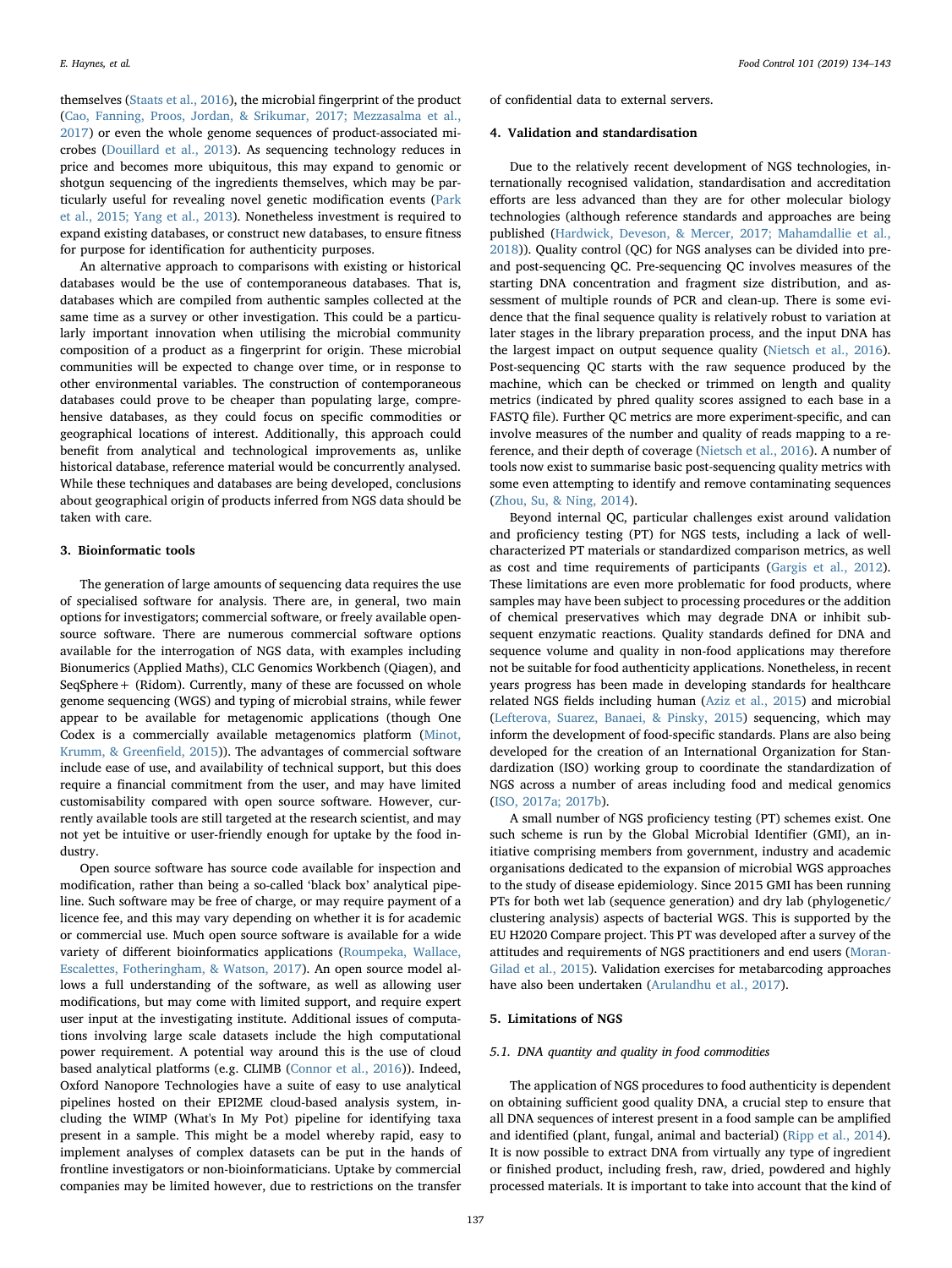themselves [\(Staats et al., 2016](#page-9-19)), the microbial fingerprint of the product ([Cao, Fanning, Proos, Jordan, & Srikumar, 2017; Mezzasalma et al.,](#page-8-17) [2017\)](#page-8-17) or even the whole genome sequences of product-associated microbes ([Douillard et al., 2013\)](#page-8-18). As sequencing technology reduces in price and becomes more ubiquitous, this may expand to genomic or shotgun sequencing of the ingredients themselves, which may be particularly useful for revealing novel genetic modification events ([Park](#page-9-20) [et al., 2015; Yang et al., 2013\)](#page-9-20). Nonetheless investment is required to expand existing databases, or construct new databases, to ensure fitness for purpose for identification for authenticity purposes.

An alternative approach to comparisons with existing or historical databases would be the use of contemporaneous databases. That is, databases which are compiled from authentic samples collected at the same time as a survey or other investigation. This could be a particularly important innovation when utilising the microbial community composition of a product as a fingerprint for origin. These microbial communities will be expected to change over time, or in response to other environmental variables. The construction of contemporaneous databases could prove to be cheaper than populating large, comprehensive databases, as they could focus on specific commodities or geographical locations of interest. Additionally, this approach could benefit from analytical and technological improvements as, unlike historical database, reference material would be concurrently analysed. While these techniques and databases are being developed, conclusions about geographical origin of products inferred from NGS data should be taken with care.

#### 3. Bioinformatic tools

The generation of large amounts of sequencing data requires the use of specialised software for analysis. There are, in general, two main options for investigators; commercial software, or freely available opensource software. There are numerous commercial software options available for the interrogation of NGS data, with examples including Bionumerics (Applied Maths), CLC Genomics Workbench (Qiagen), and SeqSphere+ (Ridom). Currently, many of these are focussed on whole genome sequencing (WGS) and typing of microbial strains, while fewer appear to be available for metagenomic applications (though One Codex is a commercially available metagenomics platform [\(Minot,](#page-9-21) [Krumm, & Green](#page-9-21)field, 2015)). The advantages of commercial software include ease of use, and availability of technical support, but this does require a financial commitment from the user, and may have limited customisability compared with open source software. However, currently available tools are still targeted at the research scientist, and may not yet be intuitive or user-friendly enough for uptake by the food industry.

Open source software has source code available for inspection and modification, rather than being a so-called 'black box' analytical pipeline. Such software may be free of charge, or may require payment of a licence fee, and this may vary depending on whether it is for academic or commercial use. Much open source software is available for a wide variety of different bioinformatics applications [\(Roumpeka, Wallace,](#page-9-22) [Escalettes, Fotheringham, & Watson, 2017\)](#page-9-22). An open source model allows a full understanding of the software, as well as allowing user modifications, but may come with limited support, and require expert user input at the investigating institute. Additional issues of computations involving large scale datasets include the high computational power requirement. A potential way around this is the use of cloud based analytical platforms (e.g. CLIMB ([Connor et al., 2016](#page-8-19))). Indeed, Oxford Nanopore Technologies have a suite of easy to use analytical pipelines hosted on their EPI2ME cloud-based analysis system, including the WIMP (What's In My Pot) pipeline for identifying taxa present in a sample. This might be a model whereby rapid, easy to implement analyses of complex datasets can be put in the hands of frontline investigators or non-bioinformaticians. Uptake by commercial companies may be limited however, due to restrictions on the transfer of confidential data to external servers.

#### 4. Validation and standardisation

Due to the relatively recent development of NGS technologies, internationally recognised validation, standardisation and accreditation efforts are less advanced than they are for other molecular biology technologies (although reference standards and approaches are being published ([Hardwick, Deveson, & Mercer, 2017; Mahamdallie et al.,](#page-8-20) [2018\)](#page-8-20)). Quality control (QC) for NGS analyses can be divided into preand post-sequencing QC. Pre-sequencing QC involves measures of the starting DNA concentration and fragment size distribution, and assessment of multiple rounds of PCR and clean-up. There is some evidence that the final sequence quality is relatively robust to variation at later stages in the library preparation process, and the input DNA has the largest impact on output sequence quality ([Nietsch et al., 2016](#page-9-23)). Post-sequencing QC starts with the raw sequence produced by the machine, which can be checked or trimmed on length and quality metrics (indicated by phred quality scores assigned to each base in a FASTQ file). Further QC metrics are more experiment-specific, and can involve measures of the number and quality of reads mapping to a reference, and their depth of coverage [\(Nietsch et al., 2016](#page-9-23)). A number of tools now exist to summarise basic post-sequencing quality metrics with some even attempting to identify and remove contaminating sequences ([Zhou, Su, & Ning, 2014](#page-10-0)).

Beyond internal QC, particular challenges exist around validation and proficiency testing (PT) for NGS tests, including a lack of wellcharacterized PT materials or standardized comparison metrics, as well as cost and time requirements of participants ([Gargis et al., 2012](#page-8-21)). These limitations are even more problematic for food products, where samples may have been subject to processing procedures or the addition of chemical preservatives which may degrade DNA or inhibit subsequent enzymatic reactions. Quality standards defined for DNA and sequence volume and quality in non-food applications may therefore not be suitable for food authenticity applications. Nonetheless, in recent years progress has been made in developing standards for healthcare related NGS fields including human ([Aziz et al., 2015\)](#page-8-22) and microbial ([Lefterova, Suarez, Banaei, & Pinsky, 2015\)](#page-9-24) sequencing, which may inform the development of food-specific standards. Plans are also being developed for the creation of an International Organization for Standardization (ISO) working group to coordinate the standardization of NGS across a number of areas including food and medical genomics ([ISO, 2017a; 2017b](#page-8-23)).

A small number of NGS proficiency testing (PT) schemes exist. One such scheme is run by the Global Microbial Identifier (GMI), an initiative comprising members from government, industry and academic organisations dedicated to the expansion of microbial WGS approaches to the study of disease epidemiology. Since 2015 GMI has been running PTs for both wet lab (sequence generation) and dry lab (phylogenetic/ clustering analysis) aspects of bacterial WGS. This is supported by the EU H2020 Compare project. This PT was developed after a survey of the attitudes and requirements of NGS practitioners and end users [\(Moran-](#page-9-25)[Gilad et al., 2015\)](#page-9-25). Validation exercises for metabarcoding approaches have also been undertaken ([Arulandhu et al., 2017\)](#page-8-24).

#### 5. Limitations of NGS

#### 5.1. DNA quantity and quality in food commodities

The application of NGS procedures to food authenticity is dependent on obtaining sufficient good quality DNA, a crucial step to ensure that all DNA sequences of interest present in a food sample can be amplified and identified (plant, fungal, animal and bacterial) ([Ripp et al., 2014](#page-9-26)). It is now possible to extract DNA from virtually any type of ingredient or finished product, including fresh, raw, dried, powdered and highly processed materials. It is important to take into account that the kind of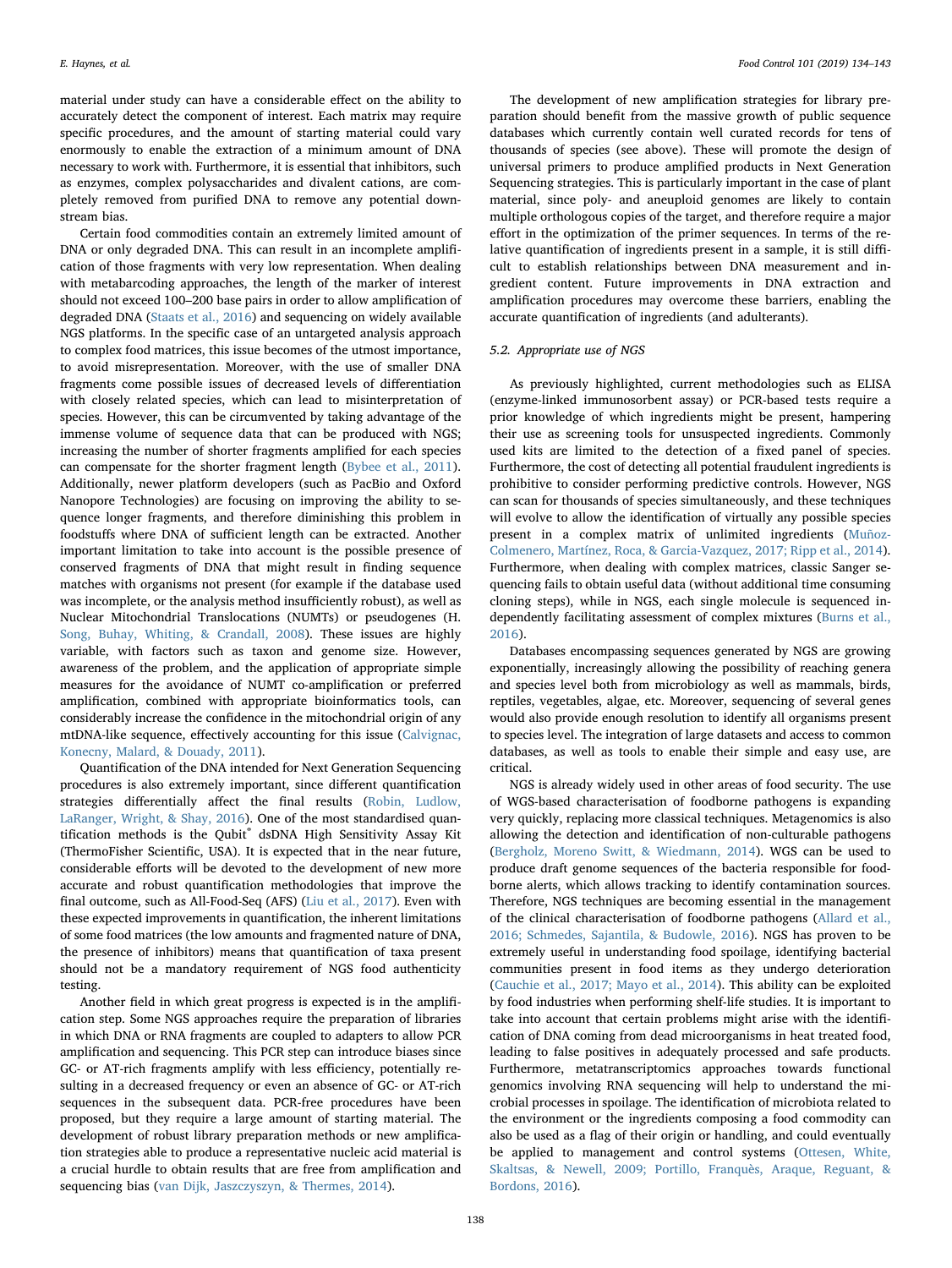material under study can have a considerable effect on the ability to accurately detect the component of interest. Each matrix may require specific procedures, and the amount of starting material could vary enormously to enable the extraction of a minimum amount of DNA necessary to work with. Furthermore, it is essential that inhibitors, such as enzymes, complex polysaccharides and divalent cations, are completely removed from purified DNA to remove any potential downstream bias.

Certain food commodities contain an extremely limited amount of DNA or only degraded DNA. This can result in an incomplete amplification of those fragments with very low representation. When dealing with metabarcoding approaches, the length of the marker of interest should not exceed 100–200 base pairs in order to allow amplification of degraded DNA ([Staats et al., 2016\)](#page-9-19) and sequencing on widely available NGS platforms. In the specific case of an untargeted analysis approach to complex food matrices, this issue becomes of the utmost importance, to avoid misrepresentation. Moreover, with the use of smaller DNA fragments come possible issues of decreased levels of differentiation with closely related species, which can lead to misinterpretation of species. However, this can be circumvented by taking advantage of the immense volume of sequence data that can be produced with NGS; increasing the number of shorter fragments amplified for each species can compensate for the shorter fragment length [\(Bybee et al., 2011](#page-8-25)). Additionally, newer platform developers (such as PacBio and Oxford Nanopore Technologies) are focusing on improving the ability to sequence longer fragments, and therefore diminishing this problem in foodstuffs where DNA of sufficient length can be extracted. Another important limitation to take into account is the possible presence of conserved fragments of DNA that might result in finding sequence matches with organisms not present (for example if the database used was incomplete, or the analysis method insufficiently robust), as well as Nuclear Mitochondrial Translocations (NUMTs) or pseudogenes (H. [Song, Buhay, Whiting, & Crandall, 2008\)](#page-9-27). These issues are highly variable, with factors such as taxon and genome size. However, awareness of the problem, and the application of appropriate simple measures for the avoidance of NUMT co-amplification or preferred amplification, combined with appropriate bioinformatics tools, can considerably increase the confidence in the mitochondrial origin of any mtDNA-like sequence, effectively accounting for this issue ([Calvignac,](#page-8-26) [Konecny, Malard, & Douady, 2011](#page-8-26)).

Quantification of the DNA intended for Next Generation Sequencing procedures is also extremely important, since different quantification strategies differentially affect the final results [\(Robin, Ludlow,](#page-9-28) [LaRanger, Wright, & Shay, 2016](#page-9-28)). One of the most standardised quantification methods is the Qubit® dsDNA High Sensitivity Assay Kit (ThermoFisher Scientific, USA). It is expected that in the near future, considerable efforts will be devoted to the development of new more accurate and robust quantification methodologies that improve the final outcome, such as All-Food-Seq (AFS) ([Liu et al., 2017](#page-9-29)). Even with these expected improvements in quantification, the inherent limitations of some food matrices (the low amounts and fragmented nature of DNA, the presence of inhibitors) means that quantification of taxa present should not be a mandatory requirement of NGS food authenticity testing.

Another field in which great progress is expected is in the amplification step. Some NGS approaches require the preparation of libraries in which DNA or RNA fragments are coupled to adapters to allow PCR amplification and sequencing. This PCR step can introduce biases since GC- or AT-rich fragments amplify with less efficiency, potentially resulting in a decreased frequency or even an absence of GC- or AT-rich sequences in the subsequent data. PCR-free procedures have been proposed, but they require a large amount of starting material. The development of robust library preparation methods or new amplification strategies able to produce a representative nucleic acid material is a crucial hurdle to obtain results that are free from amplification and sequencing bias [\(van Dijk, Jaszczyszyn, & Thermes, 2014](#page-8-27)).

The development of new amplification strategies for library preparation should benefit from the massive growth of public sequence databases which currently contain well curated records for tens of thousands of species (see above). These will promote the design of universal primers to produce amplified products in Next Generation Sequencing strategies. This is particularly important in the case of plant material, since poly- and aneuploid genomes are likely to contain multiple orthologous copies of the target, and therefore require a major effort in the optimization of the primer sequences. In terms of the relative quantification of ingredients present in a sample, it is still difficult to establish relationships between DNA measurement and ingredient content. Future improvements in DNA extraction and amplification procedures may overcome these barriers, enabling the accurate quantification of ingredients (and adulterants).

#### 5.2. Appropriate use of NGS

As previously highlighted, current methodologies such as ELISA (enzyme-linked immunosorbent assay) or PCR-based tests require a prior knowledge of which ingredients might be present, hampering their use as screening tools for unsuspected ingredients. Commonly used kits are limited to the detection of a fixed panel of species. Furthermore, the cost of detecting all potential fraudulent ingredients is prohibitive to consider performing predictive controls. However, NGS can scan for thousands of species simultaneously, and these techniques will evolve to allow the identification of virtually any possible species present in a complex matrix of unlimited ingredients [\(Muñoz-](#page-9-30)[Colmenero, Martínez, Roca, & Garcia-Vazquez, 2017; Ripp et al., 2014](#page-9-30)). Furthermore, when dealing with complex matrices, classic Sanger sequencing fails to obtain useful data (without additional time consuming cloning steps), while in NGS, each single molecule is sequenced independently facilitating assessment of complex mixtures [\(Burns et al.,](#page-8-28) [2016\)](#page-8-28).

Databases encompassing sequences generated by NGS are growing exponentially, increasingly allowing the possibility of reaching genera and species level both from microbiology as well as mammals, birds, reptiles, vegetables, algae, etc. Moreover, sequencing of several genes would also provide enough resolution to identify all organisms present to species level. The integration of large datasets and access to common databases, as well as tools to enable their simple and easy use, are critical.

NGS is already widely used in other areas of food security. The use of WGS-based characterisation of foodborne pathogens is expanding very quickly, replacing more classical techniques. Metagenomics is also allowing the detection and identification of non-culturable pathogens ([Bergholz, Moreno Switt, & Wiedmann, 2014\)](#page-8-29). WGS can be used to produce draft genome sequences of the bacteria responsible for foodborne alerts, which allows tracking to identify contamination sources. Therefore, NGS techniques are becoming essential in the management of the clinical characterisation of foodborne pathogens ([Allard et al.,](#page-8-30) [2016; Schmedes, Sajantila, & Budowle, 2016](#page-8-30)). NGS has proven to be extremely useful in understanding food spoilage, identifying bacterial communities present in food items as they undergo deterioration ([Cauchie et al., 2017; Mayo et al., 2014\)](#page-8-31). This ability can be exploited by food industries when performing shelf-life studies. It is important to take into account that certain problems might arise with the identification of DNA coming from dead microorganisms in heat treated food, leading to false positives in adequately processed and safe products. Furthermore, metatranscriptomics approaches towards functional genomics involving RNA sequencing will help to understand the microbial processes in spoilage. The identification of microbiota related to the environment or the ingredients composing a food commodity can also be used as a flag of their origin or handling, and could eventually be applied to management and control systems ([Ottesen, White,](#page-9-31) [Skaltsas, & Newell, 2009; Portillo, Franquès, Araque, Reguant, &](#page-9-31) [Bordons, 2016](#page-9-31)).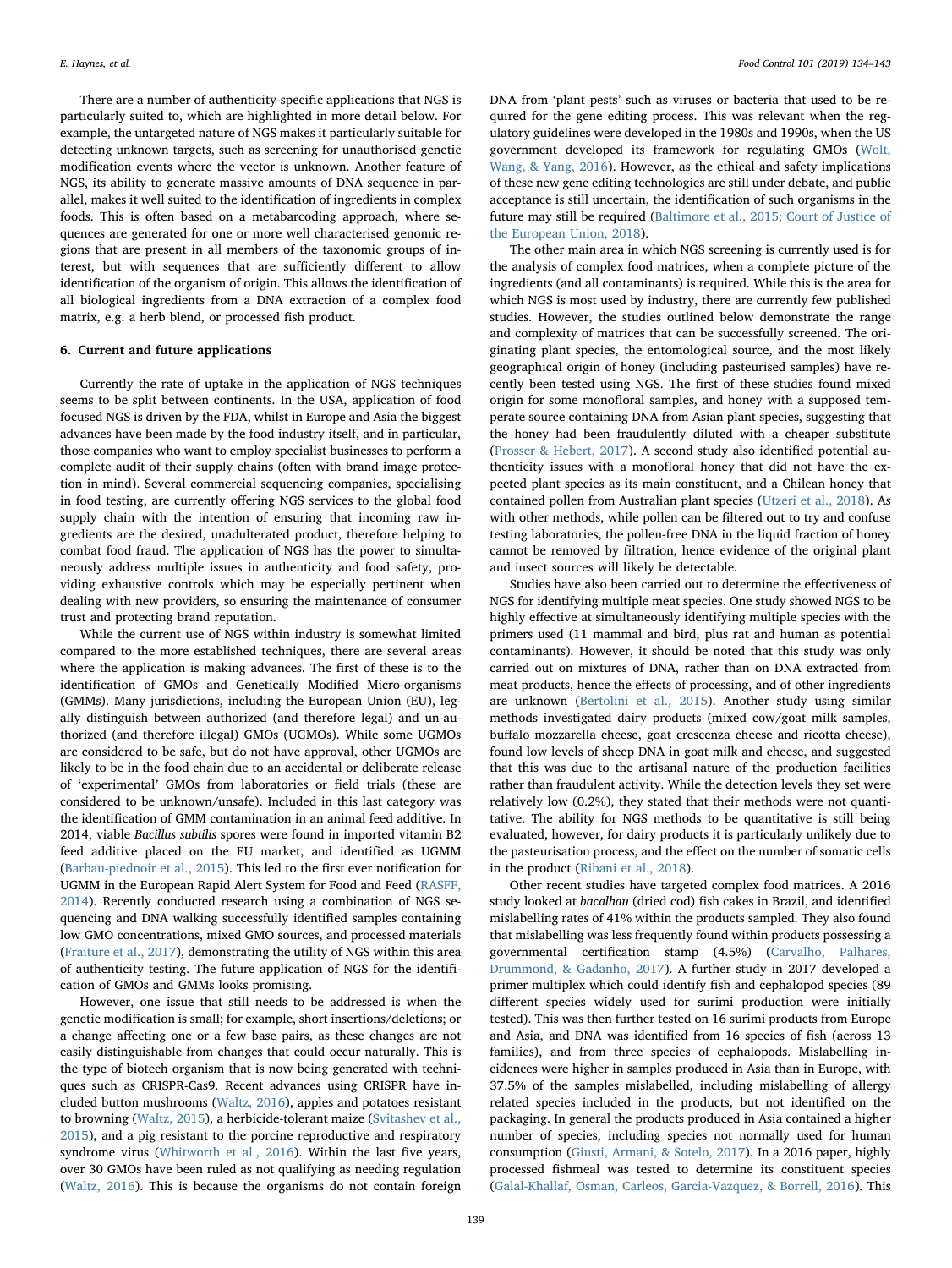There are a number of authenticity-specific applications that NGS is particularly suited to, which are highlighted in more detail below. For example, the untargeted nature of NGS makes it particularly suitable for detecting unknown targets, such as screening for unauthorised genetic modification events where the vector is unknown. Another feature of NGS, its ability to generate massive amounts of DNA sequence in parallel, makes it well suited to the identification of ingredients in complex foods. This is often based on a metabarcoding approach, where sequences are generated for one or more well characterised genomic regions that are present in all members of the taxonomic groups of interest, but with sequences that are sufficiently different to allow identification of the organism of origin. This allows the identification of all biological ingredients from a DNA extraction of a complex food matrix, e.g. a herb blend, or processed fish product.

#### 6. Current and future applications

Currently the rate of uptake in the application of NGS techniques seems to be split between continents. In the USA, application of food focused NGS is driven by the FDA, whilst in Europe and Asia the biggest advances have been made by the food industry itself, and in particular, those companies who want to employ specialist businesses to perform a complete audit of their supply chains (often with brand image protection in mind). Several commercial sequencing companies, specialising in food testing, are currently offering NGS services to the global food supply chain with the intention of ensuring that incoming raw ingredients are the desired, unadulterated product, therefore helping to combat food fraud. The application of NGS has the power to simultaneously address multiple issues in authenticity and food safety, providing exhaustive controls which may be especially pertinent when dealing with new providers, so ensuring the maintenance of consumer trust and protecting brand reputation.

While the current use of NGS within industry is somewhat limited compared to the more established techniques, there are several areas where the application is making advances. The first of these is to the identification of GMOs and Genetically Modified Micro-organisms (GMMs). Many jurisdictions, including the European Union (EU), legally distinguish between authorized (and therefore legal) and un-authorized (and therefore illegal) GMOs (UGMOs). While some UGMOs are considered to be safe, but do not have approval, other UGMOs are likely to be in the food chain due to an accidental or deliberate release of 'experimental' GMOs from laboratories or field trials (these are considered to be unknown/unsafe). Included in this last category was the identification of GMM contamination in an animal feed additive. In 2014, viable Bacillus subtilis spores were found in imported vitamin B2 feed additive placed on the EU market, and identified as UGMM ([Barbau-piednoir et al., 2015](#page-8-32)). This led to the first ever notification for UGMM in the European Rapid Alert System for Food and Feed [\(RASFF,](#page-9-32) [2014\)](#page-9-32). Recently conducted research using a combination of NGS sequencing and DNA walking successfully identified samples containing low GMO concentrations, mixed GMO sources, and processed materials ([Fraiture et al., 2017](#page-8-33)), demonstrating the utility of NGS within this area of authenticity testing. The future application of NGS for the identification of GMOs and GMMs looks promising.

However, one issue that still needs to be addressed is when the genetic modification is small; for example, short insertions/deletions; or a change affecting one or a few base pairs, as these changes are not easily distinguishable from changes that could occur naturally. This is the type of biotech organism that is now being generated with techniques such as CRISPR-Cas9. Recent advances using CRISPR have included button mushrooms ([Waltz, 2016\)](#page-9-33), apples and potatoes resistant to browning ([Waltz, 2015](#page-9-34)), a herbicide-tolerant maize [\(Svitashev et al.,](#page-9-35) [2015\)](#page-9-35), and a pig resistant to the porcine reproductive and respiratory syndrome virus ([Whitworth et al., 2016](#page-9-36)). Within the last five years, over 30 GMOs have been ruled as not qualifying as needing regulation ([Waltz, 2016\)](#page-9-33). This is because the organisms do not contain foreign

DNA from 'plant pests' such as viruses or bacteria that used to be required for the gene editing process. This was relevant when the regulatory guidelines were developed in the 1980s and 1990s, when the US government developed its framework for regulating GMOs ([Wolt,](#page-9-37) [Wang, & Yang, 2016\)](#page-9-37). However, as the ethical and safety implications of these new gene editing technologies are still under debate, and public acceptance is still uncertain, the identification of such organisms in the future may still be required ([Baltimore et al., 2015; Court of Justice of](#page-8-34) [the European Union, 2018\)](#page-8-34).

The other main area in which NGS screening is currently used is for the analysis of complex food matrices, when a complete picture of the ingredients (and all contaminants) is required. While this is the area for which NGS is most used by industry, there are currently few published studies. However, the studies outlined below demonstrate the range and complexity of matrices that can be successfully screened. The originating plant species, the entomological source, and the most likely geographical origin of honey (including pasteurised samples) have recently been tested using NGS. The first of these studies found mixed origin for some monofloral samples, and honey with a supposed temperate source containing DNA from Asian plant species, suggesting that the honey had been fraudulently diluted with a cheaper substitute ([Prosser & Hebert, 2017](#page-9-38)). A second study also identified potential authenticity issues with a monofloral honey that did not have the expected plant species as its main constituent, and a Chilean honey that contained pollen from Australian plant species [\(Utzeri et al., 2018](#page-9-39)). As with other methods, while pollen can be filtered out to try and confuse testing laboratories, the pollen-free DNA in the liquid fraction of honey cannot be removed by filtration, hence evidence of the original plant and insect sources will likely be detectable.

Studies have also been carried out to determine the effectiveness of NGS for identifying multiple meat species. One study showed NGS to be highly effective at simultaneously identifying multiple species with the primers used (11 mammal and bird, plus rat and human as potential contaminants). However, it should be noted that this study was only carried out on mixtures of DNA, rather than on DNA extracted from meat products, hence the effects of processing, and of other ingredients are unknown ([Bertolini et al., 2015](#page-8-35)). Another study using similar methods investigated dairy products (mixed cow/goat milk samples, buffalo mozzarella cheese, goat crescenza cheese and ricotta cheese), found low levels of sheep DNA in goat milk and cheese, and suggested that this was due to the artisanal nature of the production facilities rather than fraudulent activity. While the detection levels they set were relatively low (0.2%), they stated that their methods were not quantitative. The ability for NGS methods to be quantitative is still being evaluated, however, for dairy products it is particularly unlikely due to the pasteurisation process, and the effect on the number of somatic cells in the product [\(Ribani et al., 2018](#page-9-40)).

Other recent studies have targeted complex food matrices. A 2016 study looked at bacalhau (dried cod) fish cakes in Brazil, and identified mislabelling rates of 41% within the products sampled. They also found that mislabelling was less frequently found within products possessing a governmental certification stamp (4.5%) ([Carvalho, Palhares,](#page-8-36) [Drummond, & Gadanho, 2017\)](#page-8-36). A further study in 2017 developed a primer multiplex which could identify fish and cephalopod species (89 different species widely used for surimi production were initially tested). This was then further tested on 16 surimi products from Europe and Asia, and DNA was identified from 16 species of fish (across 13 families), and from three species of cephalopods. Mislabelling incidences were higher in samples produced in Asia than in Europe, with 37.5% of the samples mislabelled, including mislabelling of allergy related species included in the products, but not identified on the packaging. In general the products produced in Asia contained a higher number of species, including species not normally used for human consumption ([Giusti, Armani, & Sotelo, 2017](#page-8-37)). In a 2016 paper, highly processed fishmeal was tested to determine its constituent species ([Galal-Khallaf, Osman, Carleos, Garcia-Vazquez, & Borrell, 2016\)](#page-8-38). This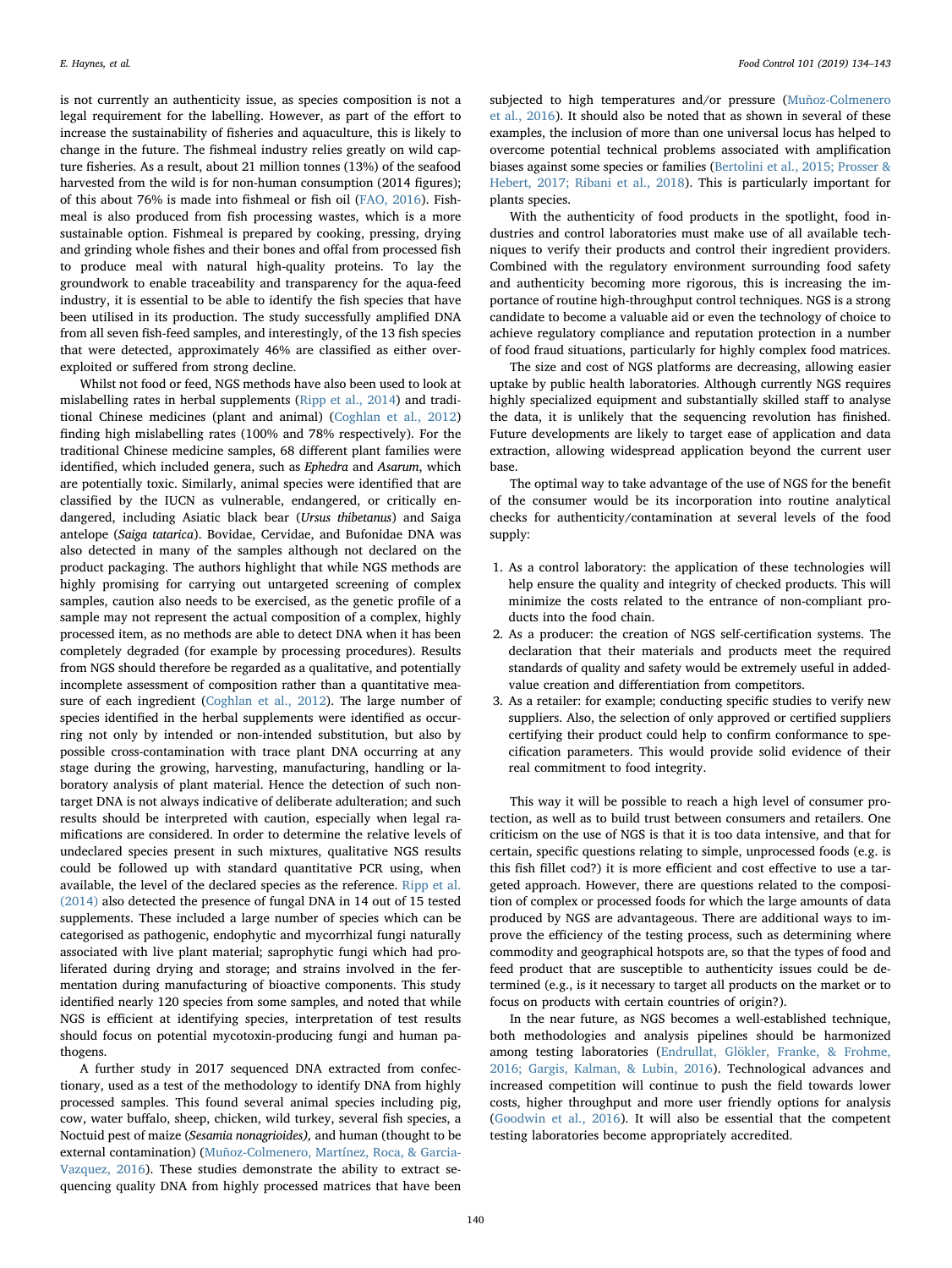is not currently an authenticity issue, as species composition is not a legal requirement for the labelling. However, as part of the effort to increase the sustainability of fisheries and aquaculture, this is likely to change in the future. The fishmeal industry relies greatly on wild capture fisheries. As a result, about 21 million tonnes (13%) of the seafood harvested from the wild is for non-human consumption (2014 figures); of this about 76% is made into fishmeal or fish oil [\(FAO, 2016\)](#page-8-39). Fishmeal is also produced from fish processing wastes, which is a more sustainable option. Fishmeal is prepared by cooking, pressing, drying and grinding whole fishes and their bones and offal from processed fish to produce meal with natural high-quality proteins. To lay the groundwork to enable traceability and transparency for the aqua-feed industry, it is essential to be able to identify the fish species that have been utilised in its production. The study successfully amplified DNA from all seven fish-feed samples, and interestingly, of the 13 fish species that were detected, approximately 46% are classified as either overexploited or suffered from strong decline.

Whilst not food or feed, NGS methods have also been used to look at mislabelling rates in herbal supplements ([Ripp et al., 2014\)](#page-9-26) and traditional Chinese medicines (plant and animal) [\(Coghlan et al., 2012\)](#page-8-40) finding high mislabelling rates (100% and 78% respectively). For the traditional Chinese medicine samples, 68 different plant families were identified, which included genera, such as Ephedra and Asarum, which are potentially toxic. Similarly, animal species were identified that are classified by the IUCN as vulnerable, endangered, or critically endangered, including Asiatic black bear (Ursus thibetanus) and Saiga antelope (Saiga tatarica). Bovidae, Cervidae, and Bufonidae DNA was also detected in many of the samples although not declared on the product packaging. The authors highlight that while NGS methods are highly promising for carrying out untargeted screening of complex samples, caution also needs to be exercised, as the genetic profile of a sample may not represent the actual composition of a complex, highly processed item, as no methods are able to detect DNA when it has been completely degraded (for example by processing procedures). Results from NGS should therefore be regarded as a qualitative, and potentially incomplete assessment of composition rather than a quantitative measure of each ingredient ([Coghlan et al., 2012](#page-8-40)). The large number of species identified in the herbal supplements were identified as occurring not only by intended or non-intended substitution, but also by possible cross-contamination with trace plant DNA occurring at any stage during the growing, harvesting, manufacturing, handling or laboratory analysis of plant material. Hence the detection of such nontarget DNA is not always indicative of deliberate adulteration; and such results should be interpreted with caution, especially when legal ramifications are considered. In order to determine the relative levels of undeclared species present in such mixtures, qualitative NGS results could be followed up with standard quantitative PCR using, when available, the level of the declared species as the reference. [Ripp et al.](#page-9-26) [\(2014\)](#page-9-26) also detected the presence of fungal DNA in 14 out of 15 tested supplements. These included a large number of species which can be categorised as pathogenic, endophytic and mycorrhizal fungi naturally associated with live plant material; saprophytic fungi which had proliferated during drying and storage; and strains involved in the fermentation during manufacturing of bioactive components. This study identified nearly 120 species from some samples, and noted that while NGS is efficient at identifying species, interpretation of test results should focus on potential mycotoxin-producing fungi and human pathogens.

A further study in 2017 sequenced DNA extracted from confectionary, used as a test of the methodology to identify DNA from highly processed samples. This found several animal species including pig, cow, water buffalo, sheep, chicken, wild turkey, several fish species, a Noctuid pest of maize (Sesamia nonagrioides), and human (thought to be external contamination) ([Muñoz-Colmenero, Martínez, Roca, & Garcia-](#page-9-41)[Vazquez, 2016\)](#page-9-41). These studies demonstrate the ability to extract sequencing quality DNA from highly processed matrices that have been subjected to high temperatures and/or pressure ([Muñoz-Colmenero](#page-9-41) [et al., 2016\)](#page-9-41). It should also be noted that as shown in several of these examples, the inclusion of more than one universal locus has helped to overcome potential technical problems associated with amplification biases against some species or families [\(Bertolini et al., 2015; Prosser &](#page-8-35) [Hebert, 2017; Ribani et al., 2018\)](#page-8-35). This is particularly important for plants species.

With the authenticity of food products in the spotlight, food industries and control laboratories must make use of all available techniques to verify their products and control their ingredient providers. Combined with the regulatory environment surrounding food safety and authenticity becoming more rigorous, this is increasing the importance of routine high-throughput control techniques. NGS is a strong candidate to become a valuable aid or even the technology of choice to achieve regulatory compliance and reputation protection in a number of food fraud situations, particularly for highly complex food matrices.

The size and cost of NGS platforms are decreasing, allowing easier uptake by public health laboratories. Although currently NGS requires highly specialized equipment and substantially skilled staff to analyse the data, it is unlikely that the sequencing revolution has finished. Future developments are likely to target ease of application and data extraction, allowing widespread application beyond the current user base.

The optimal way to take advantage of the use of NGS for the benefit of the consumer would be its incorporation into routine analytical checks for authenticity/contamination at several levels of the food supply:

- 1. As a control laboratory: the application of these technologies will help ensure the quality and integrity of checked products. This will minimize the costs related to the entrance of non-compliant products into the food chain.
- 2. As a producer: the creation of NGS self-certification systems. The declaration that their materials and products meet the required standards of quality and safety would be extremely useful in addedvalue creation and differentiation from competitors.
- 3. As a retailer: for example; conducting specific studies to verify new suppliers. Also, the selection of only approved or certified suppliers certifying their product could help to confirm conformance to specification parameters. This would provide solid evidence of their real commitment to food integrity.

This way it will be possible to reach a high level of consumer protection, as well as to build trust between consumers and retailers. One criticism on the use of NGS is that it is too data intensive, and that for certain, specific questions relating to simple, unprocessed foods (e.g. is this fish fillet cod?) it is more efficient and cost effective to use a targeted approach. However, there are questions related to the composition of complex or processed foods for which the large amounts of data produced by NGS are advantageous. There are additional ways to improve the efficiency of the testing process, such as determining where commodity and geographical hotspots are, so that the types of food and feed product that are susceptible to authenticity issues could be determined (e.g., is it necessary to target all products on the market or to focus on products with certain countries of origin?).

In the near future, as NGS becomes a well-established technique, both methodologies and analysis pipelines should be harmonized among testing laboratories ([Endrullat, Glökler, Franke, & Frohme,](#page-8-41) [2016; Gargis, Kalman, & Lubin, 2016](#page-8-41)). Technological advances and increased competition will continue to push the field towards lower costs, higher throughput and more user friendly options for analysis ([Goodwin et al., 2016](#page-8-7)). It will also be essential that the competent testing laboratories become appropriately accredited.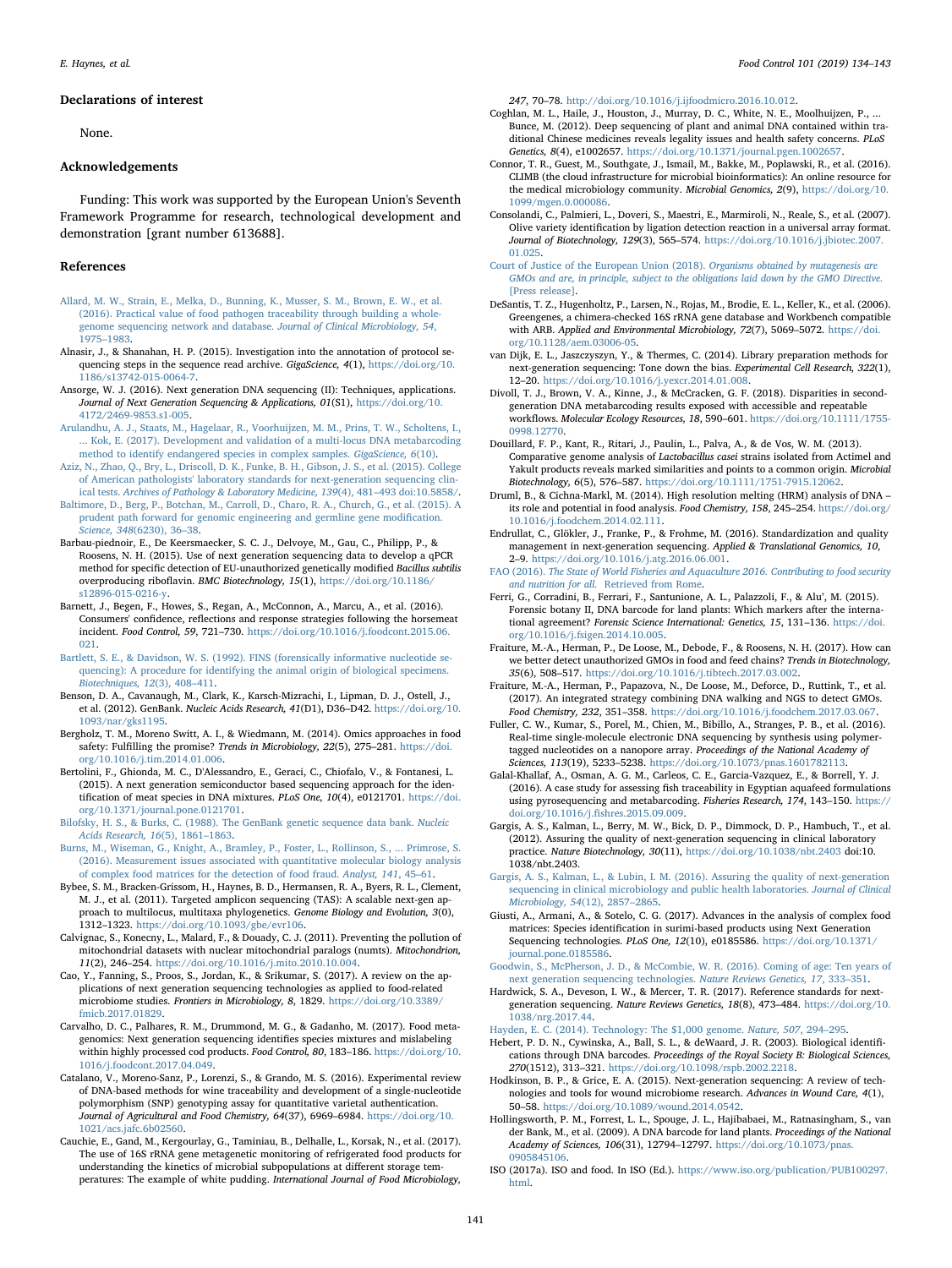#### Declarations of interest

None.

#### Acknowledgements

Funding: This work was supported by the European Union's Seventh Framework Programme for research, technological development and demonstration [grant number 613688].

#### References

- <span id="page-8-30"></span>[Allard, M. W., Strain, E., Melka, D., Bunning, K., Musser, S. M., Brown, E. W., et al.](http://refhub.elsevier.com/S0956-7135(19)30058-1/sref1) [\(2016\). Practical value of food pathogen traceability through building a whole](http://refhub.elsevier.com/S0956-7135(19)30058-1/sref1)[genome sequencing network and database.](http://refhub.elsevier.com/S0956-7135(19)30058-1/sref1) Journal of Clinical Microbiology, 54, [1975](http://refhub.elsevier.com/S0956-7135(19)30058-1/sref1)–1983.
- <span id="page-8-14"></span>Alnasir, J., & Shanahan, H. P. (2015). Investigation into the annotation of protocol sequencing steps in the sequence read archive. GigaScience, 4(1), [https://doi.org/10.](https://doi.org/10.1186/s13742-015-0064-7) [1186/s13742-015-0064-7](https://doi.org/10.1186/s13742-015-0064-7).
- <span id="page-8-9"></span>Ansorge, W. J. (2016). Next generation DNA sequencing (II): Techniques, applications. Journal of Next Generation Sequencing & Applications, 01(S1), [https://doi.org/10.](https://doi.org/10.4172/2469-9853.s1-005) [4172/2469-9853.s1-005.](https://doi.org/10.4172/2469-9853.s1-005)
- <span id="page-8-24"></span>[Arulandhu, A. J., Staats, M., Hagelaar, R., Voorhuijzen, M. M., Prins, T. W., Scholtens, I.,](http://refhub.elsevier.com/S0956-7135(19)30058-1/sref4) [... Kok, E. \(2017\). Development and validation of a multi-locus DNA metabarcoding](http://refhub.elsevier.com/S0956-7135(19)30058-1/sref4) [method to identify endangered species in complex samples.](http://refhub.elsevier.com/S0956-7135(19)30058-1/sref4) GigaScience, 6(10).
- <span id="page-8-22"></span>[Aziz, N., Zhao, Q., Bry, L., Driscoll, D. K., Funke, B. H., Gibson, J. S., et al. \(2015\). College](http://refhub.elsevier.com/S0956-7135(19)30058-1/sref5) [of American pathologists' laboratory standards for next-generation sequencing clin](http://refhub.elsevier.com/S0956-7135(19)30058-1/sref5)ical tests. [Archives of Pathology & Laboratory Medicine, 139](http://refhub.elsevier.com/S0956-7135(19)30058-1/sref5)(4), 481–493 doi:10.5858/.
- <span id="page-8-34"></span>[Baltimore, D., Berg, P., Botchan, M., Carroll, D., Charo, R. A., Church, G., et al. \(2015\). A](http://refhub.elsevier.com/S0956-7135(19)30058-1/sref6) [prudent path forward for genomic engineering and germline gene modi](http://refhub.elsevier.com/S0956-7135(19)30058-1/sref6)fication. [Science, 348](http://refhub.elsevier.com/S0956-7135(19)30058-1/sref6)(6230), 36–38.
- <span id="page-8-32"></span>Barbau-piednoir, E., De Keersmaecker, S. C. J., Delvoye, M., Gau, C., Philipp, P., & Roosens, N. H. (2015). Use of next generation sequencing data to develop a qPCR method for specific detection of EU-unauthorized genetically modified Bacillus subtilis overproducing riboflavin. BMC Biotechnology, 15(1), [https://doi.org/10.1186/](https://doi.org/10.1186/s12896-015-0216-y) [s12896-015-0216-y.](https://doi.org/10.1186/s12896-015-0216-y)
- <span id="page-8-0"></span>Barnett, J., Begen, F., Howes, S., Regan, A., McConnon, A., Marcu, A., et al. (2016). Consumers' confidence, reflections and response strategies following the horsemeat incident. Food Control, 59, 721–730. [https://doi.org/10.1016/j.foodcont.2015.06.](https://doi.org/10.1016/j.foodcont.2015.06.021) [021](https://doi.org/10.1016/j.foodcont.2015.06.021).
- <span id="page-8-3"></span>[Bartlett, S. E., & Davidson, W. S. \(1992\). FINS \(forensically informative nucleotide se](http://refhub.elsevier.com/S0956-7135(19)30058-1/sref9)[quencing\): A procedure for identifying the animal origin of biological specimens.](http://refhub.elsevier.com/S0956-7135(19)30058-1/sref9) [Biotechniques, 12](http://refhub.elsevier.com/S0956-7135(19)30058-1/sref9)(3), 408–411.
- <span id="page-8-13"></span>Benson, D. A., Cavanaugh, M., Clark, K., Karsch-Mizrachi, I., Lipman, D. J., Ostell, J., et al. (2012). GenBank. Nucleic Acids Research, 41(D1), D36–D42. [https://doi.org/10.](https://doi.org/10.1093/nar/gks1195) [1093/nar/gks1195](https://doi.org/10.1093/nar/gks1195).
- <span id="page-8-29"></span>Bergholz, T. M., Moreno Switt, A. I., & Wiedmann, M. (2014). Omics approaches in food safety: Fulfilling the promise? Trends in Microbiology, 22(5), 275-281. [https://doi.](https://doi.org/10.1016/j.tim.2014.01.006) [org/10.1016/j.tim.2014.01.006](https://doi.org/10.1016/j.tim.2014.01.006).
- <span id="page-8-35"></span>Bertolini, F., Ghionda, M. C., D'Alessandro, E., Geraci, C., Chiofalo, V., & Fontanesi, L. (2015). A next generation semiconductor based sequencing approach for the identification of meat species in DNA mixtures. PLoS One, 10(4), e0121701. [https://doi.](https://doi.org/10.1371/journal.pone.0121701) [org/10.1371/journal.pone.0121701](https://doi.org/10.1371/journal.pone.0121701).
- <span id="page-8-12"></span>[Bilofsky, H. S., & Burks, C. \(1988\). The GenBank genetic sequence data bank.](http://refhub.elsevier.com/S0956-7135(19)30058-1/sref13) Nucleic [Acids Research, 16](http://refhub.elsevier.com/S0956-7135(19)30058-1/sref13)(5), 1861–1863.
- <span id="page-8-28"></span>[Burns, M., Wiseman, G., Knight, A., Bramley, P., Foster, L., Rollinson, S., ... Primrose, S.](http://refhub.elsevier.com/S0956-7135(19)30058-1/sref14) [\(2016\). Measurement issues associated with quantitative molecular biology analysis](http://refhub.elsevier.com/S0956-7135(19)30058-1/sref14) [of complex food matrices for the detection of food fraud.](http://refhub.elsevier.com/S0956-7135(19)30058-1/sref14) Analyst, 141, 45–61.
- <span id="page-8-25"></span>Bybee, S. M., Bracken-Grissom, H., Haynes, B. D., Hermansen, R. A., Byers, R. L., Clement, M. J., et al. (2011). Targeted amplicon sequencing (TAS): A scalable next-gen approach to multilocus, multitaxa phylogenetics. Genome Biology and Evolution, 3(0), 1312–1323. <https://doi.org/10.1093/gbe/evr106>.
- <span id="page-8-26"></span>Calvignac, S., Konecny, L., Malard, F., & Douady, C. J. (2011). Preventing the pollution of mitochondrial datasets with nuclear mitochondrial paralogs (numts). Mitochondrion, 11(2), 246–254. [https://doi.org/10.1016/j.mito.2010.10.004.](https://doi.org/10.1016/j.mito.2010.10.004)
- <span id="page-8-17"></span>Cao, Y., Fanning, S., Proos, S., Jordan, K., & Srikumar, S. (2017). A review on the applications of next generation sequencing technologies as applied to food-related microbiome studies. Frontiers in Microbiology, 8, 1829. [https://doi.org/10.3389/](https://doi.org/10.3389/fmicb.2017.01829) [fmicb.2017.01829](https://doi.org/10.3389/fmicb.2017.01829).
- <span id="page-8-36"></span>Carvalho, D. C., Palhares, R. M., Drummond, M. G., & Gadanho, M. (2017). Food metagenomics: Next generation sequencing identifies species mixtures and mislabeling within highly processed cod products. Food Control, 80, 183–186. [https://doi.org/10.](https://doi.org/10.1016/j.foodcont.2017.04.049) [1016/j.foodcont.2017.04.049](https://doi.org/10.1016/j.foodcont.2017.04.049).
- <span id="page-8-1"></span>Catalano, V., Moreno-Sanz, P., Lorenzi, S., & Grando, M. S. (2016). Experimental review of DNA-based methods for wine traceability and development of a single-nucleotide polymorphism (SNP) genotyping assay for quantitative varietal authentication. Journal of Agricultural and Food Chemistry, 64(37), 6969–6984. [https://doi.org/10.](https://doi.org/10.1021/acs.jafc.6b02560) [1021/acs.jafc.6b02560.](https://doi.org/10.1021/acs.jafc.6b02560)
- <span id="page-8-31"></span>Cauchie, E., Gand, M., Kergourlay, G., Taminiau, B., Delhalle, L., Korsak, N., et al. (2017). The use of 16S rRNA gene metagenetic monitoring of refrigerated food products for understanding the kinetics of microbial subpopulations at different storage temperatures: The example of white pudding. International Journal of Food Microbiology,

247, 70–78. [http://doi.org/10.1016/j.ijfoodmicro.2016.10.012.](http://doi.org/10.1016/j.ijfoodmicro.2016.10.012)

- <span id="page-8-40"></span>Coghlan, M. L., Haile, J., Houston, J., Murray, D. C., White, N. E., Moolhuijzen, P., ... Bunce, M. (2012). Deep sequencing of plant and animal DNA contained within traditional Chinese medicines reveals legality issues and health safety concerns. PLoS Genetics, 8(4), e1002657. [https://doi.org/10.1371/journal.pgen.1002657.](https://doi.org/10.1371/journal.pgen.1002657)
- <span id="page-8-19"></span>Connor, T. R., Guest, M., Southgate, J., Ismail, M., Bakke, M., Poplawski, R., et al. (2016). CLIMB (the cloud infrastructure for microbial bioinformatics): An online resource for the medical microbiology community. Microbial Genomics, 2(9), [https://doi.org/10.](https://doi.org/10.1099/mgen.0.000086) [1099/mgen.0.000086](https://doi.org/10.1099/mgen.0.000086).
- <span id="page-8-4"></span>Consolandi, C., Palmieri, L., Doveri, S., Maestri, E., Marmiroli, N., Reale, S., et al. (2007). Olive variety identification by ligation detection reaction in a universal array format. Journal of Biotechnology, 129(3), 565–574. [https://doi.org/10.1016/j.jbiotec.2007.](https://doi.org/10.1016/j.jbiotec.2007.01.025) [01.025](https://doi.org/10.1016/j.jbiotec.2007.01.025).

[Court of Justice of the European Union \(2018\).](http://refhub.elsevier.com/S0956-7135(19)30058-1/sref24) Organisms obtained by mutagenesis are [GMOs and are, in principle, subject to the obligations laid down by the GMO Directive.](http://refhub.elsevier.com/S0956-7135(19)30058-1/sref24) [\[Press release\].](http://refhub.elsevier.com/S0956-7135(19)30058-1/sref24)

- <span id="page-8-15"></span>DeSantis, T. Z., Hugenholtz, P., Larsen, N., Rojas, M., Brodie, E. L., Keller, K., et al. (2006). Greengenes, a chimera-checked 16S rRNA gene database and Workbench compatible with ARB. Applied and Environmental Microbiology, 72(7), 5069–5072. [https://doi.](https://doi.org/10.1128/aem.03006-05) [org/10.1128/aem.03006-05](https://doi.org/10.1128/aem.03006-05).
- <span id="page-8-27"></span>van Dijk, E. L., Jaszczyszyn, Y., & Thermes, C. (2014). Library preparation methods for next-generation sequencing: Tone down the bias. Experimental Cell Research, 322(1), 12–20. <https://doi.org/10.1016/j.yexcr.2014.01.008>.
- <span id="page-8-11"></span>Divoll, T. J., Brown, V. A., Kinne, J., & McCracken, G. F. (2018). Disparities in secondgeneration DNA metabarcoding results exposed with accessible and repeatable workflows. Molecular Ecology Resources, 18, 590–601. [https://doi.org/10.1111/1755-](https://doi.org/10.1111/1755-0998.12770) [0998.12770.](https://doi.org/10.1111/1755-0998.12770)
- <span id="page-8-18"></span>Douillard, F. P., Kant, R., Ritari, J., Paulin, L., Palva, A., & de Vos, W. M. (2013). Comparative genome analysis of Lactobacillus casei strains isolated from Actimel and Yakult products reveals marked similarities and points to a common origin. Microbial Biotechnology, 6(5), 576–587. <https://doi.org/10.1111/1751-7915.12062>.
- <span id="page-8-5"></span>Druml, B., & Cichna-Markl, M. (2014). High resolution melting (HRM) analysis of DNA – its role and potential in food analysis. Food Chemistry, 158, 245–254. [https://doi.org/](https://doi.org/10.1016/j.foodchem.2014.02.111) [10.1016/j.foodchem.2014.02.111](https://doi.org/10.1016/j.foodchem.2014.02.111).
- <span id="page-8-41"></span>Endrullat, C., Glökler, J., Franke, P., & Frohme, M. (2016). Standardization and quality management in next-generation sequencing. Applied & Translational Genomics, 10, 2–9. [https://doi.org/10.1016/j.atg.2016.06.001.](https://doi.org/10.1016/j.atg.2016.06.001)
- <span id="page-8-39"></span>FAO (2016). [The State of World Fisheries and Aquaculture 2016. Contributing to food security](http://refhub.elsevier.com/S0956-7135(19)30058-1/sref31) and nutrition for all. [Retrieved from Rome](http://refhub.elsevier.com/S0956-7135(19)30058-1/sref31).
- <span id="page-8-16"></span>Ferri, G., Corradini, B., Ferrari, F., Santunione, A. L., Palazzoli, F., & Alu', M. (2015). Forensic botany II, DNA barcode for land plants: Which markers after the international agreement? Forensic Science International: Genetics, 15, 131–136. [https://doi.](https://doi.org/10.1016/j.fsigen.2014.10.005) [org/10.1016/j.fsigen.2014.10.005](https://doi.org/10.1016/j.fsigen.2014.10.005).
- <span id="page-8-6"></span>Fraiture, M.-A., Herman, P., De Loose, M., Debode, F., & Roosens, N. H. (2017). How can we better detect unauthorized GMOs in food and feed chains? Trends in Biotechnology, 35(6), 508–517. <https://doi.org/10.1016/j.tibtech.2017.03.002>.
- <span id="page-8-33"></span>Fraiture, M.-A., Herman, P., Papazova, N., De Loose, M., Deforce, D., Ruttink, T., et al. (2017). An integrated strategy combining DNA walking and NGS to detect GMOs. Food Chemistry, 232, 351–358. <https://doi.org/10.1016/j.foodchem.2017.03.067>.
- Fuller, C. W., Kumar, S., Porel, M., Chien, M., Bibillo, A., Stranges, P. B., et al. (2016). Real-time single-molecule electronic DNA sequencing by synthesis using polymertagged nucleotides on a nanopore array. Proceedings of the National Academy of Sciences, 113(19), 5233–5238. <https://doi.org/10.1073/pnas.1601782113>.
- <span id="page-8-38"></span>Galal-Khallaf, A., Osman, A. G. M., Carleos, C. E., Garcia-Vazquez, E., & Borrell, Y. J. (2016). A case study for assessing fish traceability in Egyptian aquafeed formulations using pyrosequencing and metabarcoding. Fisheries Research, 174, 143–150. [https://](https://doi.org/10.1016/j.fishres.2015.09.009) [doi.org/10.1016/j.](https://doi.org/10.1016/j.fishres.2015.09.009)fishres.2015.09.009.
- <span id="page-8-21"></span>Gargis, A. S., Kalman, L., Berry, M. W., Bick, D. P., Dimmock, D. P., Hambuch, T., et al. (2012). Assuring the quality of next-generation sequencing in clinical laboratory practice. Nature Biotechnology, 30(11), <https://doi.org/10.1038/nbt.2403> doi:10. [1038/nbt.2403](https://doi.org/10.1038/nbt.2403).
- [Gargis, A. S., Kalman, L., & Lubin, I. M. \(2016\). Assuring the quality of next-generation](http://refhub.elsevier.com/S0956-7135(19)30058-1/sref38) [sequencing in clinical microbiology and public health laboratories.](http://refhub.elsevier.com/S0956-7135(19)30058-1/sref38) Journal of Clinical [Microbiology, 54](http://refhub.elsevier.com/S0956-7135(19)30058-1/sref38)(12), 2857–2865.
- <span id="page-8-37"></span>Giusti, A., Armani, A., & Sotelo, C. G. (2017). Advances in the analysis of complex food matrices: Species identification in surimi-based products using Next Generation Sequencing technologies. PLoS One, 12(10), e0185586. [https://doi.org/10.1371/](https://doi.org/10.1371/journal.pone.0185586) [journal.pone.0185586](https://doi.org/10.1371/journal.pone.0185586).
- <span id="page-8-7"></span>[Goodwin, S., McPherson, J. D., & McCombie, W. R. \(2016\). Coming of age: Ten years of](http://refhub.elsevier.com/S0956-7135(19)30058-1/sref40) [next generation sequencing technologies.](http://refhub.elsevier.com/S0956-7135(19)30058-1/sref40) Nature Reviews Genetics, 17, 333–351.
- <span id="page-8-20"></span>Hardwick, S. A., Deveson, I. W., & Mercer, T. R. (2017). Reference standards for nextgeneration sequencing. Nature Reviews Genetics, 18(8), 473–484. [https://doi.org/10.](https://doi.org/10.1038/nrg.2017.44) [1038/nrg.2017.44.](https://doi.org/10.1038/nrg.2017.44)

<span id="page-8-8"></span>[Hayden, E. C. \(2014\). Technology: The \\$1,000 genome.](http://refhub.elsevier.com/S0956-7135(19)30058-1/sref42) Nature, 507, 294–295.

- <span id="page-8-2"></span>Hebert, P. D. N., Cywinska, A., Ball, S. L., & deWaard, J. R. (2003). Biological identifications through DNA barcodes. Proceedings of the Royal Society B: Biological Sciences, 270(1512), 313–321. <https://doi.org/10.1098/rspb.2002.2218>.
- <span id="page-8-10"></span>Hodkinson, B. P., & Grice, E. A. (2015). Next-generation sequencing: A review of technologies and tools for wound microbiome research. Advances in Wound Care, 4(1), 50–58. <https://doi.org/10.1089/wound.2014.0542>.
- Hollingsworth, P. M., Forrest, L. L., Spouge, J. L., Hajibabaei, M., Ratnasingham, S., van der Bank, M., et al. (2009). A DNA barcode for land plants. Proceedings of the National Academy of Sciences, 106(31), 12794–12797. [https://doi.org/10.1073/pnas.](https://doi.org/10.1073/pnas.0905845106) [0905845106](https://doi.org/10.1073/pnas.0905845106).
- <span id="page-8-23"></span>ISO (2017a). ISO and food. In ISO (Ed.). [https://www.iso.org/publication/PUB100297.](https://www.iso.org/publication/PUB100297.html) [html.](https://www.iso.org/publication/PUB100297.html)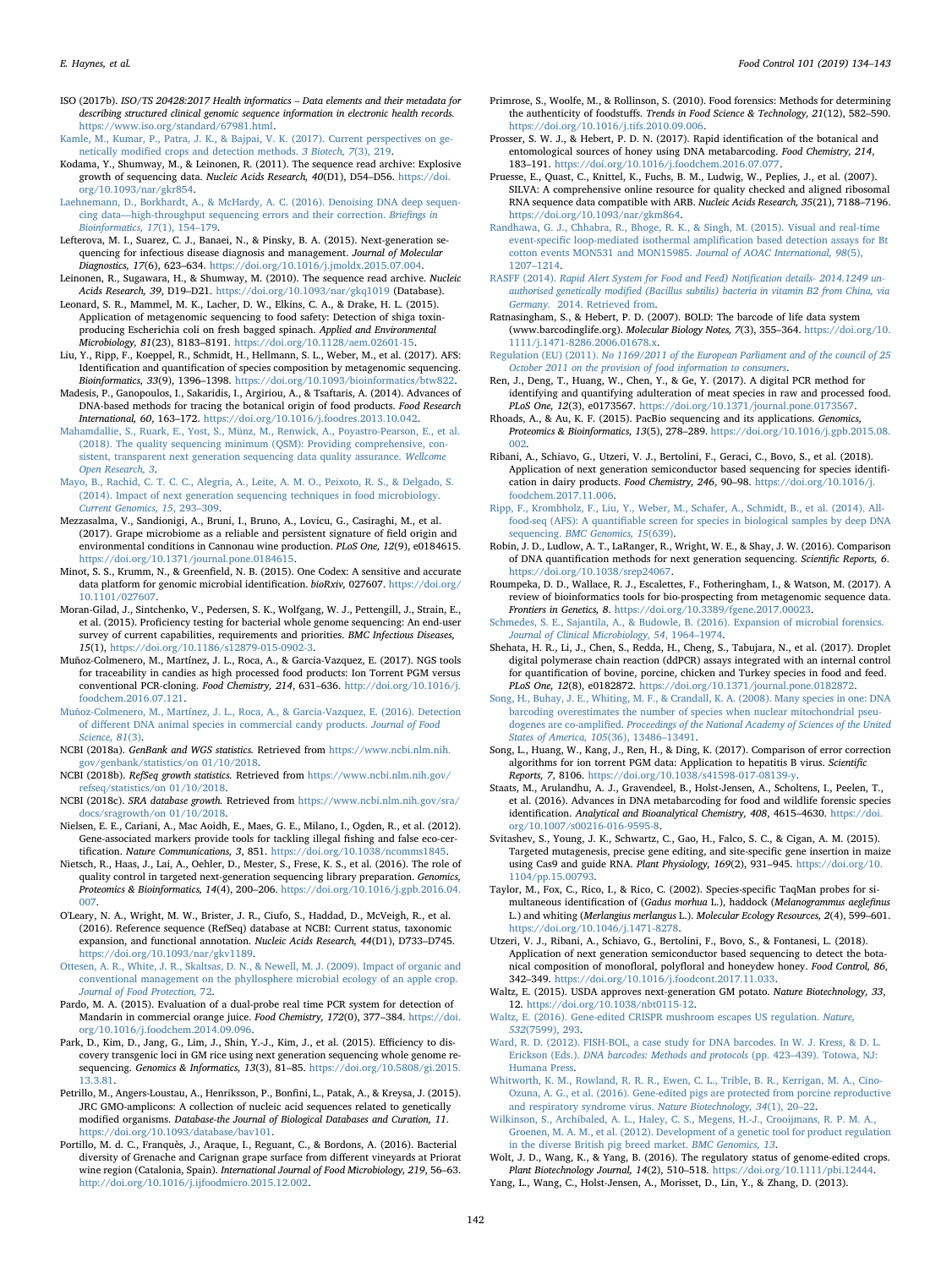ISO (2017b). ISO/TS 20428:2017 Health informatics – Data elements and their metadata for describing structured clinical genomic sequence information in electronic health records. www.iso.org/standard/67981.html.

[Kamle, M., Kumar, P., Patra, J. K., & Bajpai, V. K. \(2017\). Current perspectives on ge](http://refhub.elsevier.com/S0956-7135(19)30058-1/sref48)netically modifi[ed crops and detection methods.](http://refhub.elsevier.com/S0956-7135(19)30058-1/sref48) 3 Biotech, 7(3), 219.

<span id="page-9-12"></span>Kodama, Y., Shumway, M., & Leinonen, R. (2011). The sequence read archive: Explosive growth of sequencing data. Nucleic Acids Research, 40(D1), D54–D56. [https://doi.](https://doi.org/10.1093/nar/gkr854) [org/10.1093/nar/gkr854.](https://doi.org/10.1093/nar/gkr854)

[Laehnemann, D., Borkhardt, A., & McHardy, A. C. \(2016\). Denoising DNA deep sequen](http://refhub.elsevier.com/S0956-7135(19)30058-1/sref50)cing data—[high-throughput sequencing errors and their correction.](http://refhub.elsevier.com/S0956-7135(19)30058-1/sref50) Briefings in [Bioinformatics, 17](http://refhub.elsevier.com/S0956-7135(19)30058-1/sref50)(1), 154–179.

<span id="page-9-24"></span>Lefterova, M. I., Suarez, C. J., Banaei, N., & Pinsky, B. A. (2015). Next-generation sequencing for infectious disease diagnosis and management. Journal of Molecular Diagnostics, 17(6), 623–634. [https://doi.org/10.1016/j.jmoldx.2015.07.004.](https://doi.org/10.1016/j.jmoldx.2015.07.004)

<span id="page-9-11"></span>Leinonen, R., Sugawara, H., & Shumway, M. (2010). The sequence read archive. Nucleic Acids Research, 39, D19–D21. <https://doi.org/10.1093/nar/gkq1019> (Database).

<span id="page-9-7"></span>Leonard, S. R., Mammel, M. K., Lacher, D. W., Elkins, C. A., & Drake, H. L. (2015). Application of metagenomic sequencing to food safety: Detection of shiga toxinproducing Escherichia coli on fresh bagged spinach. Applied and Environmental Microbiology, 81(23), 8183–8191. <https://doi.org/10.1128/aem.02601-15>.

<span id="page-9-29"></span>Liu, Y., Ripp, F., Koeppel, R., Schmidt, H., Hellmann, S. L., Weber, M., et al. (2017). AFS: Identification and quantification of species composition by metagenomic sequencing. Bioinformatics, 33(9), 1396–1398. <https://doi.org/10.1093/bioinformatics/btw822>.

<span id="page-9-3"></span>Madesis, P., Ganopoulos, I., Sakaridis, I., Argiriou, A., & Tsaftaris, A. (2014). Advances of DNA-based methods for tracing the botanical origin of food products. Food Research International, 60, 163–172. <https://doi.org/10.1016/j.foodres.2013.10.042>.

[Mahamdallie, S., Ruark, E., Yost, S., Münz, M., Renwick, A., Poyastro-Pearson, E., et al.](http://refhub.elsevier.com/S0956-7135(19)30058-1/sref56) [\(2018\). The quality sequencing minimum \(QSM\): Providing comprehensive, con](http://refhub.elsevier.com/S0956-7135(19)30058-1/sref56)[sistent, transparent next generation sequencing data quality assurance.](http://refhub.elsevier.com/S0956-7135(19)30058-1/sref56) Wellcome [Open Research, 3](http://refhub.elsevier.com/S0956-7135(19)30058-1/sref56).

[Mayo, B., Rachid, C. T. C. C., Alegria, A., Leite, A. M. O., Peixoto, R. S., & Delgado, S.](http://refhub.elsevier.com/S0956-7135(19)30058-1/sref57) [\(2014\). Impact of next generation sequencing techniques in food microbiology.](http://refhub.elsevier.com/S0956-7135(19)30058-1/sref57) [Current Genomics, 15](http://refhub.elsevier.com/S0956-7135(19)30058-1/sref57), 293–309.

Mezzasalma, V., Sandionigi, A., Bruni, I., Bruno, A., Lovicu, G., Casiraghi, M., et al. (2017). Grape microbiome as a reliable and persistent signature of field origin and environmental conditions in Cannonau wine production. PLoS One, 12(9), e0184615. <https://doi.org/10.1371/journal.pone.0184615>.

<span id="page-9-21"></span>Minot, S. S., Krumm, N., & Greenfield, N. B. (2015). One Codex: A sensitive and accurate data platform for genomic microbial identification. bioRxiv, 027607. [https://doi.org/](https://doi.org/10.1101/027607) [10.1101/027607.](https://doi.org/10.1101/027607)

<span id="page-9-25"></span>Moran-Gilad, J., Sintchenko, V., Pedersen, S. K., Wolfgang, W. J., Pettengill, J., Strain, E., et al. (2015). Proficiency testing for bacterial whole genome sequencing: An end-user survey of current capabilities, requirements and priorities. BMC Infectious Diseases, 15(1), <https://doi.org/10.1186/s12879-015-0902-3>.

<span id="page-9-30"></span>Muñoz-Colmenero, M., Martínez, J. L., Roca, A., & Garcia-Vazquez, E. (2017). NGS tools for traceability in candies as high processed food products: Ion Torrent PGM versus conventional PCR-cloning. Food Chemistry, 214, 631–636. [http://doi.org/10.1016/j.](http://doi.org/10.1016/j.foodchem.2016.07.121) [foodchem.2016.07.121](http://doi.org/10.1016/j.foodchem.2016.07.121).

<span id="page-9-41"></span>Muñoz‐[Colmenero, M., Martínez, J. L., Roca, A., & Garcia](http://refhub.elsevier.com/S0956-7135(19)30058-1/sref62)‐Vazquez, E. (2016). Detection of diff[erent DNA animal species in commercial candy products.](http://refhub.elsevier.com/S0956-7135(19)30058-1/sref62) Journal of Food [Science, 81](http://refhub.elsevier.com/S0956-7135(19)30058-1/sref62)(3).

<span id="page-9-10"></span>NCBI (2018a). GenBank and WGS statistics. Retrieved from [https://www.ncbi.nlm.nih.](https://www.ncbi.nlm.nih.gov/genbank/statistics/%20on%2001/10/2018) [gov/genbank/statistics/on 01/10/2018](https://www.ncbi.nlm.nih.gov/genbank/statistics/%20on%2001/10/2018).

<span id="page-9-15"></span>NCBI (2018b). RefSeq growth statistics. Retrieved from [https://www.ncbi.nlm.nih.gov/](https://www.ncbi.nlm.nih.gov/refseq/statistics/%20on%2001/10/2018) [refseq/statistics/on 01/10/2018](https://www.ncbi.nlm.nih.gov/refseq/statistics/%20on%2001/10/2018).

<span id="page-9-13"></span>NCBI (2018c). SRA database growth. Retrieved from [https://www.ncbi.nlm.nih.gov/sra/](https://www.ncbi.nlm.nih.gov/sra/docs/sragrowth/%20on%2001/10/2018) [docs/sragrowth/on 01/10/2018.](https://www.ncbi.nlm.nih.gov/sra/docs/sragrowth/%20on%2001/10/2018)

<span id="page-9-2"></span>Nielsen, E. E., Cariani, A., Mac Aoidh, E., Maes, G. E., Milano, I., Ogden, R., et al. (2012). Gene-associated markers provide tools for tackling illegal fishing and false eco-certification. Nature Communications, 3, 851. <https://doi.org/10.1038/ncomms1845>.

<span id="page-9-23"></span>Nietsch, R., Haas, J., Lai, A., Oehler, D., Mester, S., Frese, K. S., et al. (2016). The role of quality control in targeted next-generation sequencing library preparation. Genomics, Proteomics & Bioinformatics, 14(4), 200–206. [https://doi.org/10.1016/j.gpb.2016.04.](https://doi.org/10.1016/j.gpb.2016.04.007) [007](https://doi.org/10.1016/j.gpb.2016.04.007).

<span id="page-9-14"></span>O'Leary, N. A., Wright, M. W., Brister, J. R., Ciufo, S., Haddad, D., McVeigh, R., et al. (2016). Reference sequence (RefSeq) database at NCBI: Current status, taxonomic expansion, and functional annotation. Nucleic Acids Research, 44(D1), D733–D745. <https://doi.org/10.1093/nar/gkv1189>.

<span id="page-9-31"></span>[Ottesen, A. R., White, J. R., Skaltsas, D. N., & Newell, M. J. \(2009\). Impact of organic and](http://refhub.elsevier.com/S0956-7135(19)30058-1/sref69) [conventional management on the phyllosphere microbial ecology of an apple crop.](http://refhub.elsevier.com/S0956-7135(19)30058-1/sref69) [Journal of Food Protection,](http://refhub.elsevier.com/S0956-7135(19)30058-1/sref69) 72.

Pardo, M. A. (2015). Evaluation of a dual-probe real time PCR system for detection of Mandarin in commercial orange juice. Food Chemistry, 172(0), 377–384. [https://doi.](https://doi.org/10.1016/j.foodchem.2014.09.096) [org/10.1016/j.foodchem.2014.09.096.](https://doi.org/10.1016/j.foodchem.2014.09.096)

<span id="page-9-20"></span>Park, D., Kim, D., Jang, G., Lim, J., Shin, Y.-J., Kim, J., et al. (2015). Efficiency to discovery transgenic loci in GM rice using next generation sequencing whole genome resequencing. Genomics & Informatics, 13(3), 81–85. [https://doi.org/10.5808/gi.2015.](https://doi.org/10.5808/gi.2015.13.3.81) [13.3.81](https://doi.org/10.5808/gi.2015.13.3.81).

<span id="page-9-18"></span>Petrillo, M., Angers-Loustau, A., Henriksson, P., Bonfini, L., Patak, A., & Kreysa, J. (2015). JRC GMO-amplicons: A collection of nucleic acid sequences related to genetically modified organisms. Database-the Journal of Biological Databases and Curation, 11. <https://doi.org/10.1093/database/bav101>.

Portillo, M. d. C., Franquès, J., Araque, I., Reguant, C., & Bordons, A. (2016). Bacterial diversity of Grenache and Carignan grape surface from different vineyards at Priorat wine region (Catalonia, Spain). International Journal of Food Microbiology, 219, 56–63. [http://doi.org/10.1016/j.ijfoodmicro.2015.12.002.](http://doi.org/10.1016/j.ijfoodmicro.2015.12.002)

<span id="page-9-1"></span>Primrose, S., Woolfe, M., & Rollinson, S. (2010). Food forensics: Methods for determining the authenticity of foodstuffs. Trends in Food Science & Technology, 21(12), 582–590. <https://doi.org/10.1016/j.tifs.2010.09.006>.

<span id="page-9-38"></span>Prosser, S. W. J., & Hebert, P. D. N. (2017). Rapid identification of the botanical and entomological sources of honey using DNA metabarcoding. Food Chemistry, 214, 183–191. <https://doi.org/10.1016/j.foodchem.2016.07.077>.

Pruesse, E., Quast, C., Knittel, K., Fuchs, B. M., Ludwig, W., Peplies, J., et al. (2007). SILVA: A comprehensive online resource for quality checked and aligned ribosomal RNA sequence data compatible with ARB. Nucleic Acids Research, 35(21), 7188–7196. [https://doi.org/10.1093/nar/gkm864.](https://doi.org/10.1093/nar/gkm864)

<span id="page-9-5"></span>[Randhawa, G. J., Chhabra, R., Bhoge, R. K., & Singh, M. \(2015\). Visual and real-time](http://refhub.elsevier.com/S0956-7135(19)30058-1/sref77) event-specific loop-mediated isothermal amplifi[cation based detection assays for Bt](http://refhub.elsevier.com/S0956-7135(19)30058-1/sref77) [cotton events MON531 and MON15985.](http://refhub.elsevier.com/S0956-7135(19)30058-1/sref77) Journal of AOAC International, 98(5), 1207–[1214](http://refhub.elsevier.com/S0956-7135(19)30058-1/sref77).

<span id="page-9-32"></span>RASFF (2014). [Rapid Alert System for Food and Feed\) Noti](http://refhub.elsevier.com/S0956-7135(19)30058-1/sref78)fication details- 2014.1249 unauthorised genetically modifi[ed \(Bacillus subtilis\) bacteria in vitamin B2 from China, via](http://refhub.elsevier.com/S0956-7135(19)30058-1/sref78) Germany. [2014. Retrieved from.](http://refhub.elsevier.com/S0956-7135(19)30058-1/sref78)

<span id="page-9-16"></span>Ratnasingham, S., & Hebert, P. D. (2007). BOLD: The barcode of life data system (www.barcodinglife.org). Molecular Biology Notes, 7(3), 355–364. [https://doi.org/10.](https://doi.org/10.1111/j.1471-8286.2006.01678.x) [1111/j.1471-8286.2006.01678.x](https://doi.org/10.1111/j.1471-8286.2006.01678.x).

<span id="page-9-0"></span>Regulation (EU) (2011). [No 1169/2011 of the European Parliament and of the council of 25](http://refhub.elsevier.com/S0956-7135(19)30058-1/sref80) [October 2011 on the provision of food information to consumers](http://refhub.elsevier.com/S0956-7135(19)30058-1/sref80).

<span id="page-9-6"></span>Ren, J., Deng, T., Huang, W., Chen, Y., & Ge, Y. (2017). A digital PCR method for identifying and quantifying adulteration of meat species in raw and processed food. PLoS One, 12(3), e0173567. [https://doi.org/10.1371/journal.pone.0173567.](https://doi.org/10.1371/journal.pone.0173567)

<span id="page-9-9"></span>Rhoads, A., & Au, K. F. (2015). PacBio sequencing and its applications. Genomics, Proteomics & Bioinformatics, 13(5), 278–289. [https://doi.org/10.1016/j.gpb.2015.08.](https://doi.org/10.1016/j.gpb.2015.08.002) [002](https://doi.org/10.1016/j.gpb.2015.08.002).

<span id="page-9-40"></span>Ribani, A., Schiavo, G., Utzeri, V. J., Bertolini, F., Geraci, C., Bovo, S., et al. (2018). Application of next generation semiconductor based sequencing for species identification in dairy products. Food Chemistry, 246, 90–98. [https://doi.org/10.1016/j.](https://doi.org/10.1016/j.foodchem.2017.11.006) [foodchem.2017.11.006.](https://doi.org/10.1016/j.foodchem.2017.11.006)

<span id="page-9-26"></span>[Ripp, F., Krombholz, F., Liu, Y., Weber, M., Schafer, A., Schmidt, B., et al. \(2014\). All](http://refhub.elsevier.com/S0956-7135(19)30058-1/sref84)food-seq (AFS): A quantifi[able screen for species in biological samples by deep DNA](http://refhub.elsevier.com/S0956-7135(19)30058-1/sref84) sequencing. [BMC Genomics, 15](http://refhub.elsevier.com/S0956-7135(19)30058-1/sref84)(639).

<span id="page-9-28"></span>Robin, J. D., Ludlow, A. T., LaRanger, R., Wright, W. E., & Shay, J. W. (2016). Comparison of DNA quantification methods for next generation sequencing. Scientific Reports, 6. <https://doi.org/10.1038/srep24067>.

<span id="page-9-22"></span>Roumpeka, D. D., Wallace, R. J., Escalettes, F., Fotheringham, I., & Watson, M. (2017). A review of bioinformatics tools for bio-prospecting from metagenomic sequence data. Frontiers in Genetics, 8. [https://doi.org/10.3389/fgene.2017.00023.](https://doi.org/10.3389/fgene.2017.00023)

[Schmedes, S. E., Sajantila, A., & Budowle, B. \(2016\). Expansion of microbial forensics.](http://refhub.elsevier.com/S0956-7135(19)30058-1/sref87) [Journal of Clinical Microbiology, 54](http://refhub.elsevier.com/S0956-7135(19)30058-1/sref87), 1964–1974.

Shehata, H. R., Li, J., Chen, S., Redda, H., Cheng, S., Tabujara, N., et al. (2017). Droplet digital polymerase chain reaction (ddPCR) assays integrated with an internal control for quantification of bovine, porcine, chicken and Turkey species in food and feed. PLoS One, 12(8), e0182872. [https://doi.org/10.1371/journal.pone.0182872.](https://doi.org/10.1371/journal.pone.0182872)

<span id="page-9-27"></span>[Song, H., Buhay, J. E., Whiting, M. F., & Crandall, K. A. \(2008\). Many species in one: DNA](http://refhub.elsevier.com/S0956-7135(19)30058-1/sref89) [barcoding overestimates the number of species when nuclear mitochondrial pseu](http://refhub.elsevier.com/S0956-7135(19)30058-1/sref89)dogenes are co-amplified. [Proceedings of the National Academy of Sciences of the United](http://refhub.elsevier.com/S0956-7135(19)30058-1/sref89) [States of America, 105](http://refhub.elsevier.com/S0956-7135(19)30058-1/sref89)(36), 13486–13491.

<span id="page-9-8"></span>Song, L., Huang, W., Kang, J., Ren, H., & Ding, K. (2017). Comparison of error correction algorithms for ion torrent PGM data: Application to hepatitis B virus. Scientific Reports, 7, 8106. [https://doi.org/10.1038/s41598-017-08139-y.](https://doi.org/10.1038/s41598-017-08139-y)

<span id="page-9-19"></span>Staats, M., Arulandhu, A. J., Gravendeel, B., Holst-Jensen, A., Scholtens, I., Peelen, T., et al. (2016). Advances in DNA metabarcoding for food and wildlife forensic species identification. Analytical and Bioanalytical Chemistry, 408, 4615–4630. [https://doi.](https://doi.org/10.1007/s00216-016-9595-8) [org/10.1007/s00216-016-9595-8.](https://doi.org/10.1007/s00216-016-9595-8)

<span id="page-9-35"></span>Svitashev, S., Young, J. K., Schwartz, C., Gao, H., Falco, S. C., & Cigan, A. M. (2015). Targeted mutagenesis, precise gene editing, and site-specific gene insertion in maize using Cas9 and guide RNA. Plant Physiology, 169(2), 931–945. [https://doi.org/10.](https://doi.org/10.1104/pp.15.00793) [1104/pp.15.00793.](https://doi.org/10.1104/pp.15.00793)

<span id="page-9-4"></span>Taylor, M., Fox, C., Rico, I., & Rico, C. (2002). Species‐specific TaqMan probes for simultaneous identification of (Gadus morhua L.), haddock (Melanogrammus aeglefinus L.) and whiting (Merlangius merlangus L.). Molecular Ecology Resources, 2(4), 599–601. [https://doi.org/10.1046/j.1471-8278.](https://doi.org/10.1046/j.1471-8278)

<span id="page-9-39"></span>Utzeri, V. J., Ribani, A., Schiavo, G., Bertolini, F., Bovo, S., & Fontanesi, L. (2018). Application of next generation semiconductor based sequencing to detect the botanical composition of monofloral, polyfloral and honeydew honey. Food Control, 86, 342–349. <https://doi.org/10.1016/j.foodcont.2017.11.033>.

<span id="page-9-34"></span>Waltz, E. (2015). USDA approves next-generation GM potato. Nature Biotechnology, 33, 12. <https://doi.org/10.1038/nbt0115-12>.

<span id="page-9-33"></span>[Waltz, E. \(2016\). Gene-edited CRISPR mushroom escapes US regulation.](http://refhub.elsevier.com/S0956-7135(19)30058-1/sref96) Nature, 532[\(7599\), 293](http://refhub.elsevier.com/S0956-7135(19)30058-1/sref96).

<span id="page-9-17"></span>[Ward, R. D. \(2012\). FISH-BOL, a case study for DNA barcodes. In W. J. Kress, & D. L.](http://refhub.elsevier.com/S0956-7135(19)30058-1/sref97) Erickson (Eds.). [DNA barcodes: Methods and protocols](http://refhub.elsevier.com/S0956-7135(19)30058-1/sref97) (pp. 423–439). Totowa, NJ: [Humana Press.](http://refhub.elsevier.com/S0956-7135(19)30058-1/sref97)

<span id="page-9-36"></span>[Whitworth, K. M., Rowland, R. R. R., Ewen, C. L., Trible, B. R., Kerrigan, M. A., Cino-](http://refhub.elsevier.com/S0956-7135(19)30058-1/sref98)[Ozuna, A. G., et al. \(2016\). Gene-edited pigs are protected from porcine reproductive](http://refhub.elsevier.com/S0956-7135(19)30058-1/sref98) [and respiratory syndrome virus.](http://refhub.elsevier.com/S0956-7135(19)30058-1/sref98) Nature Biotechnology, 34(1), 20–22.

[Wilkinson, S., Archibaled, A. L., Haley, C. S., Megens, H.-J., Crooijmans, R. P. M. A.,](http://refhub.elsevier.com/S0956-7135(19)30058-1/sref99) [Groenen, M. A. M., et al. \(2012\). Development of a genetic tool for product regulation](http://refhub.elsevier.com/S0956-7135(19)30058-1/sref99) [in the diverse British pig breed market.](http://refhub.elsevier.com/S0956-7135(19)30058-1/sref99) BMC Genomics, 13.

<span id="page-9-37"></span>Wolt, J. D., Wang, K., & Yang, B. (2016). The regulatory status of genome-edited crops. Plant Biotechnology Journal, 14(2), 510–518. [https://doi.org/10.1111/pbi.12444.](https://doi.org/10.1111/pbi.12444)

Yang, L., Wang, C., Holst-Jensen, A., Morisset, D., Lin, Y., & Zhang, D. (2013).